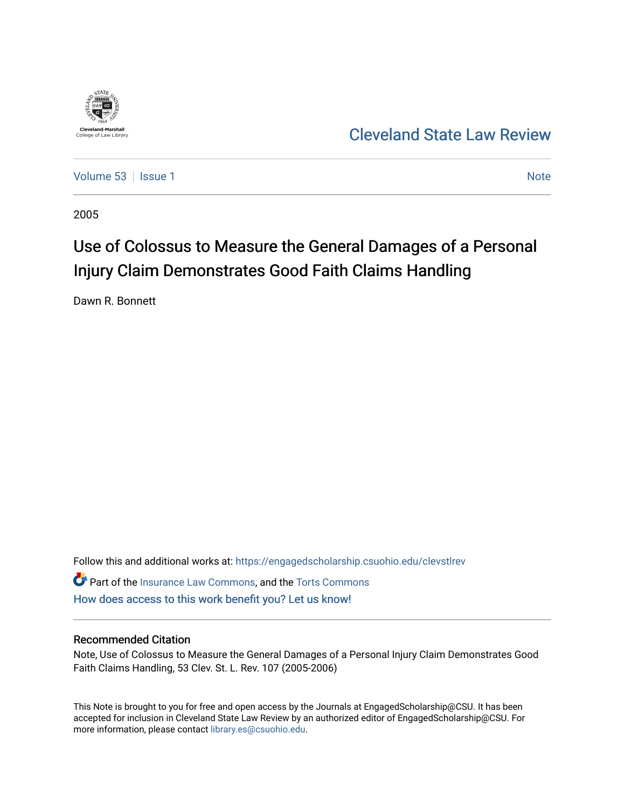

[Cleveland State Law Review](https://engagedscholarship.csuohio.edu/clevstlrev) 

[Volume 53](https://engagedscholarship.csuohio.edu/clevstlrev/vol53) | [Issue 1](https://engagedscholarship.csuohio.edu/clevstlrev/vol53/iss1) [Note](https://engagedscholarship.csuohio.edu/clevstlrev/vol53/iss1/7) 1 Note 1 Note 1 Note 1 Note 1 Note 1 Note 1 Note 1 Note 1 Note 1 Note 1 Note 1 Note 1 Note 1 Note 1 Note 1 Note 1 Note 1 Note 1 Note 1 Note 1 Note 1 Note 1 Note 1 Note 1 Note 1 Note 1 Note 1 Note 1

2005

# Use of Colossus to Measure the General Damages of a Personal Injury Claim Demonstrates Good Faith Claims Handling

Dawn R. Bonnett

Follow this and additional works at: [https://engagedscholarship.csuohio.edu/clevstlrev](https://engagedscholarship.csuohio.edu/clevstlrev?utm_source=engagedscholarship.csuohio.edu%2Fclevstlrev%2Fvol53%2Fiss1%2F7&utm_medium=PDF&utm_campaign=PDFCoverPages) Part of the [Insurance Law Commons](http://network.bepress.com/hgg/discipline/607?utm_source=engagedscholarship.csuohio.edu%2Fclevstlrev%2Fvol53%2Fiss1%2F7&utm_medium=PDF&utm_campaign=PDFCoverPages), and the [Torts Commons](http://network.bepress.com/hgg/discipline/913?utm_source=engagedscholarship.csuohio.edu%2Fclevstlrev%2Fvol53%2Fiss1%2F7&utm_medium=PDF&utm_campaign=PDFCoverPages)

[How does access to this work benefit you? Let us know!](http://library.csuohio.edu/engaged/)

## Recommended Citation

Note, Use of Colossus to Measure the General Damages of a Personal Injury Claim Demonstrates Good Faith Claims Handling, 53 Clev. St. L. Rev. 107 (2005-2006)

This Note is brought to you for free and open access by the Journals at EngagedScholarship@CSU. It has been accepted for inclusion in Cleveland State Law Review by an authorized editor of EngagedScholarship@CSU. For more information, please contact [library.es@csuohio.edu](mailto:library.es@csuohio.edu).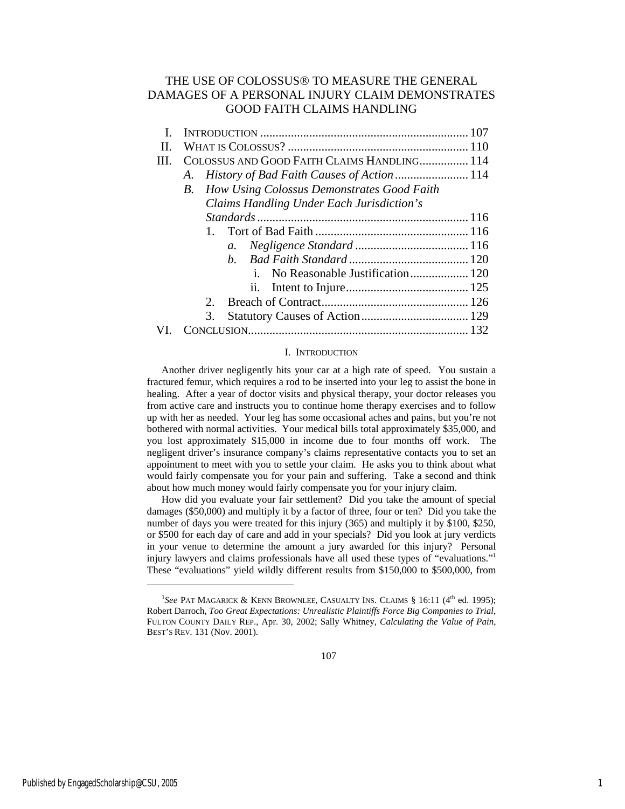## THE USE OF COLOSSUS® TO MEASURE THE GENERAL DAMAGES OF A PERSONAL INJURY CLAIM DEMONSTRATES GOOD FAITH CLAIMS HANDLING

| Н. |                                                  |  |
|----|--------------------------------------------------|--|
|    | COLOSSUS AND GOOD FAITH CLAIMS HANDLING 114      |  |
|    | А.                                               |  |
|    | How Using Colossus Demonstrates Good Faith<br>B. |  |
|    | Claims Handling Under Each Jurisdiction's        |  |
|    |                                                  |  |
|    |                                                  |  |
|    | a.                                               |  |
|    | h.                                               |  |
|    |                                                  |  |
|    |                                                  |  |
|    | 2.                                               |  |
|    | 3.                                               |  |
|    |                                                  |  |

#### I. INTRODUCTION

Another driver negligently hits your car at a high rate of speed. You sustain a fractured femur, which requires a rod to be inserted into your leg to assist the bone in healing. After a year of doctor visits and physical therapy, your doctor releases you from active care and instructs you to continue home therapy exercises and to follow up with her as needed. Your leg has some occasional aches and pains, but you're not bothered with normal activities. Your medical bills total approximately \$35,000, and you lost approximately \$15,000 in income due to four months off work. The negligent driver's insurance company's claims representative contacts you to set an appointment to meet with you to settle your claim. He asks you to think about what would fairly compensate you for your pain and suffering. Take a second and think about how much money would fairly compensate you for your injury claim.

How did you evaluate your fair settlement? Did you take the amount of special damages (\$50,000) and multiply it by a factor of three, four or ten? Did you take the number of days you were treated for this injury (365) and multiply it by \$100, \$250, or \$500 for each day of care and add in your specials? Did you look at jury verdicts in your venue to determine the amount a jury awarded for this injury? Personal injury lawyers and claims professionals have all used these types of "evaluations."1 These "evaluations" yield wildly different results from \$150,000 to \$500,000, from

<sup>&</sup>lt;sup>1</sup>See PAT MAGARICK & KENN BROWNLEE, CASUALTY INS. CLAIMS § 16:11 (4<sup>th</sup> ed. 1995); Robert Darroch, *Too Great Expectations: Unrealistic Plaintiffs Force Big Companies to Trial*, FULTON COUNTY DAILY REP., Apr. 30, 2002; Sally Whitney, *Calculating the Value of Pain*, BEST'S REV*.* 131 (Nov. 2001).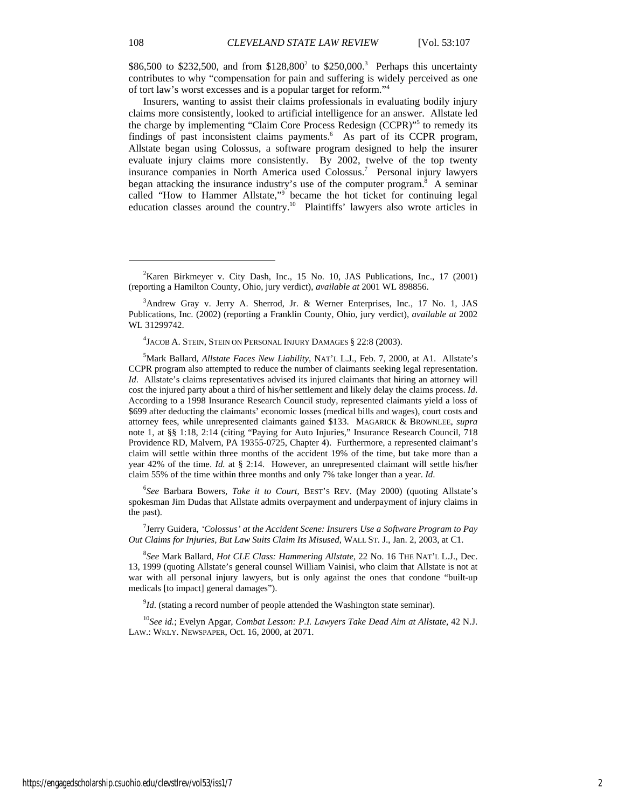\$86,500 to \$232,500, and from \$128,800<sup>2</sup> to \$250,000.<sup>3</sup> Perhaps this uncertainty contributes to why "compensation for pain and suffering is widely perceived as one of tort law's worst excesses and is a popular target for reform."4

Insurers, wanting to assist their claims professionals in evaluating bodily injury claims more consistently, looked to artificial intelligence for an answer. Allstate led the charge by implementing "Claim Core Process Redesign (CCPR)"5 to remedy its findings of past inconsistent claims payments.<sup>6</sup> As part of its CCPR program, Allstate began using Colossus, a software program designed to help the insurer evaluate injury claims more consistently. By 2002, twelve of the top twenty insurance companies in North America used Colossus.7 Personal injury lawyers began attacking the insurance industry's use of the computer program.<sup>8</sup> A seminar called "How to Hammer Allstate," became the hot ticket for continuing legal education classes around the country.<sup>10</sup> Plaintiffs' lawyers also wrote articles in

6 *See* Barbara Bowers, *Take it to Court*, BEST'S REV. (May 2000) (quoting Allstate's spokesman Jim Dudas that Allstate admits overpayment and underpayment of injury claims in the past).

7 Jerry Guidera, *'Colossus' at the Accident Scene: Insurers Use a Software Program to Pay Out Claims for Injuries, But Law Suits Claim Its Misused*, WALL ST. J., Jan. 2, 2003, at C1.

8 *See* Mark Ballard, *Hot CLE Class: Hammering Allstate*, 22 No. 16 THE NAT'L L.J., Dec. 13, 1999 (quoting Allstate's general counsel William Vainisi, who claim that Allstate is not at war with all personal injury lawyers, but is only against the ones that condone "built-up medicals [to impact] general damages").

 $^{9}$ *Id*. (stating a record number of people attended the Washington state seminar).

<sup>10</sup>*See id.*; Evelyn Apgar, *Combat Lesson: P.I. Lawyers Take Dead Aim at Allstate*, 42 N.J. LAW.: WKLY. NEWSPAPER, Oct. 16, 2000, at 2071.

l

 $2^2$ Karen Birkmeyer v. City Dash, Inc., 15 No. 10, JAS Publications, Inc., 17 (2001) (reporting a Hamilton County, Ohio, jury verdict), *available at* 2001 WL 898856.

<sup>3</sup> Andrew Gray v. Jerry A. Sherrod, Jr. & Werner Enterprises, Inc*.*, 17 No. 1, JAS Publications, Inc. (2002) (reporting a Franklin County, Ohio, jury verdict), *available at* 2002 WL 31299742.

<sup>4</sup> JACOB A. STEIN, STEIN ON PERSONAL INJURY DAMAGES § 22:8 (2003).

<sup>5</sup> Mark Ballard, *Allstate Faces New Liability*, NAT'L L.J., Feb. 7, 2000, at A1. Allstate's CCPR program also attempted to reduce the number of claimants seeking legal representation. *Id*. Allstate's claims representatives advised its injured claimants that hiring an attorney will cost the injured party about a third of his/her settlement and likely delay the claims process. *Id*. According to a 1998 Insurance Research Council study, represented claimants yield a loss of \$699 after deducting the claimants' economic losses (medical bills and wages), court costs and attorney fees, while unrepresented claimants gained \$133. MAGARICK & BROWNLEE, *supra*  note 1, at §§ 1:18, 2:14 (citing "Paying for Auto Injuries," Insurance Research Council, 718 Providence RD, Malvern, PA 19355-0725, Chapter 4). Furthermore, a represented claimant's claim will settle within three months of the accident 19% of the time, but take more than a year 42% of the time. *Id.* at § 2:14. However, an unrepresented claimant will settle his/her claim 55% of the time within three months and only 7% take longer than a year. *Id*.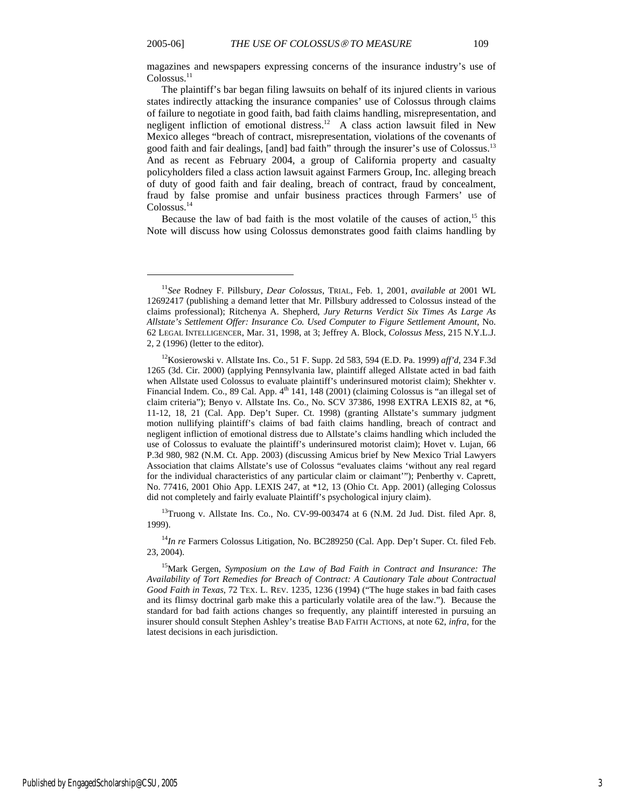magazines and newspapers expressing concerns of the insurance industry's use of Colossus.<sup>11</sup>

The plaintiff's bar began filing lawsuits on behalf of its injured clients in various states indirectly attacking the insurance companies' use of Colossus through claims of failure to negotiate in good faith, bad faith claims handling, misrepresentation, and negligent infliction of emotional distress.<sup>12</sup> A class action lawsuit filed in New Mexico alleges "breach of contract, misrepresentation, violations of the covenants of good faith and fair dealings, [and] bad faith" through the insurer's use of Colossus.13 And as recent as February 2004, a group of California property and casualty policyholders filed a class action lawsuit against Farmers Group, Inc. alleging breach of duty of good faith and fair dealing, breach of contract, fraud by concealment, fraud by false promise and unfair business practices through Farmers' use of Colossus.<sup>14</sup>

Because the law of bad faith is the most volatile of the causes of action,<sup>15</sup> this Note will discuss how using Colossus demonstrates good faith claims handling by

<sup>13</sup>Truong v. Allstate Ins. Co., No. CV-99-003474 at 6 (N.M. 2d Jud. Dist. filed Apr. 8, 1999).

<sup>14</sup>*In re* Farmers Colossus Litigation, No. BC289250 (Cal. App. Dep't Super. Ct. filed Feb. 23, 2004).

<sup>11</sup>*See* Rodney F. Pillsbury, *Dear Colossus*, TRIAL, Feb. 1, 2001, *available at* 2001 WL 12692417 (publishing a demand letter that Mr. Pillsbury addressed to Colossus instead of the claims professional); Ritchenya A. Shepherd, *Jury Returns Verdict Six Times As Large As Allstate's Settlement Offer: Insurance Co. Used Computer to Figure Settlement Amount*, No. 62 LEGAL INTELLIGENCER, Mar. 31, 1998, at 3; Jeffrey A. Block, *Colossus Mess*, 215 N.Y.L.J. 2, 2 (1996) (letter to the editor).

<sup>12</sup>Kosierowski v. Allstate Ins. Co., 51 F. Supp. 2d 583, 594 (E.D. Pa. 1999) *aff'd*, 234 F.3d 1265 (3d. Cir. 2000) (applying Pennsylvania law, plaintiff alleged Allstate acted in bad faith when Allstate used Colossus to evaluate plaintiff's underinsured motorist claim); Shekhter v. Financial Indem. Co., 89 Cal. App. 4<sup>th</sup> 141, 148 (2001) (claiming Colossus is "an illegal set of claim criteria"); Benyo v. Allstate Ins. Co., No. SCV 37386, 1998 EXTRA LEXIS 82, at \*6, 11-12, 18, 21 (Cal. App. Dep't Super. Ct. 1998) (granting Allstate's summary judgment motion nullifying plaintiff's claims of bad faith claims handling, breach of contract and negligent infliction of emotional distress due to Allstate's claims handling which included the use of Colossus to evaluate the plaintiff's underinsured motorist claim); Hovet v. Lujan, 66 P.3d 980, 982 (N.M. Ct. App. 2003) (discussing Amicus brief by New Mexico Trial Lawyers Association that claims Allstate's use of Colossus "evaluates claims 'without any real regard for the individual characteristics of any particular claim or claimant'"); Penberthy v. Caprett, No. 77416, 2001 Ohio App. LEXIS 247, at \*12, 13 (Ohio Ct. App. 2001) (alleging Colossus did not completely and fairly evaluate Plaintiff's psychological injury claim).

<sup>15</sup>Mark Gergen, *Symposium on the Law of Bad Faith in Contract and Insurance: The Availability of Tort Remedies for Breach of Contract: A Cautionary Tale about Contractual Good Faith in Texas*, 72 TEX. L. REV. 1235, 1236 (1994) ("The huge stakes in bad faith cases and its flimsy doctrinal garb make this a particularly volatile area of the law."). Because the standard for bad faith actions changes so frequently, any plaintiff interested in pursuing an insurer should consult Stephen Ashley's treatise BAD FAITH ACTIONS, at note 62, *infra*, for the latest decisions in each jurisdiction.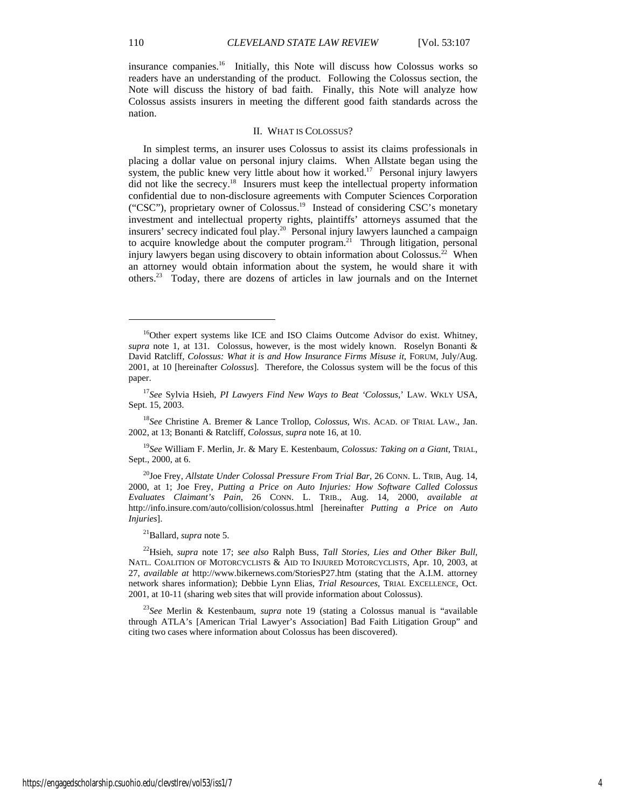insurance companies.16 Initially, this Note will discuss how Colossus works so readers have an understanding of the product. Following the Colossus section, the Note will discuss the history of bad faith. Finally, this Note will analyze how Colossus assists insurers in meeting the different good faith standards across the nation.

#### II. WHAT IS COLOSSUS?

In simplest terms, an insurer uses Colossus to assist its claims professionals in placing a dollar value on personal injury claims. When Allstate began using the system, the public knew very little about how it worked.<sup>17</sup> Personal injury lawyers did not like the secrecy.<sup>18</sup> Insurers must keep the intellectual property information confidential due to non-disclosure agreements with Computer Sciences Corporation ("CSC"), proprietary owner of Colossus.19 Instead of considering CSC's monetary investment and intellectual property rights, plaintiffs' attorneys assumed that the insurers' secrecy indicated foul play.<sup>20</sup> Personal injury lawyers launched a campaign to acquire knowledge about the computer program.<sup>21</sup> Through litigation, personal injury lawyers began using discovery to obtain information about Colossus.<sup>22</sup> When an attorney would obtain information about the system, he would share it with others.23 Today, there are dozens of articles in law journals and on the Internet

<sup>19</sup>*See* William F. Merlin, Jr. & Mary E. Kestenbaum, *Colossus: Taking on a Giant*, TRIAL, Sept., 2000, at 6.

21Ballard, *supra* note 5.

<sup>&</sup>lt;sup>16</sup>Other expert systems like ICE and ISO Claims Outcome Advisor do exist. Whitney, *supra* note 1, at 131. Colossus, however, is the most widely known. Roselyn Bonanti & David Ratcliff, *Colossus: What it is and How Insurance Firms Misuse it*, FORUM, July/Aug. 2001, at 10 [hereinafter *Colossus*]. Therefore, the Colossus system will be the focus of this paper.

<sup>17</sup>*See* Sylvia Hsieh, *PI Lawyers Find New Ways to Beat 'Colossus*,' LAW. WKLY USA, Sept. 15, 2003.

<sup>18</sup>*See* Christine A. Bremer & Lance Trollop, *Colossus*, WIS. ACAD. OF TRIAL LAW., Jan. 2002, at 13; Bonanti & Ratcliff, *Colossus*, *supra* note 16, at 10.

<sup>20</sup>Joe Frey, *Allstate Under Colossal Pressure From Trial Bar*, 26 CONN. L. TRIB, Aug. 14, 2000, at 1; Joe Frey, *Putting a Price on Auto Injuries: How Software Called Colossus Evaluates Claimant's Pain*, 26 CONN. L. TRIB., Aug. 14, 2000, *available at* http://info.insure.com/auto/collision/colossus.html [hereinafter *Putting a Price on Auto Injuries*].

<sup>22</sup>Hsieh, *supra* note 17; *see also* Ralph Buss, *Tall Stories, Lies and Other Biker Bull*, NATL. COALITION OF MOTORCYCLISTS & AID TO INJURED MOTORCYCLISTS, Apr. 10, 2003, at 27, *available at* http://www.bikernews.com/StoriesP27.htm (stating that the A.I.M. attorney network shares information); Debbie Lynn Elias, *Trial Resources*, TRIAL EXCELLENCE, Oct. 2001, at 10-11 (sharing web sites that will provide information about Colossus).

<sup>23</sup>*See* Merlin & Kestenbaum, *supra* note 19 (stating a Colossus manual is "available through ATLA's [American Trial Lawyer's Association] Bad Faith Litigation Group" and citing two cases where information about Colossus has been discovered).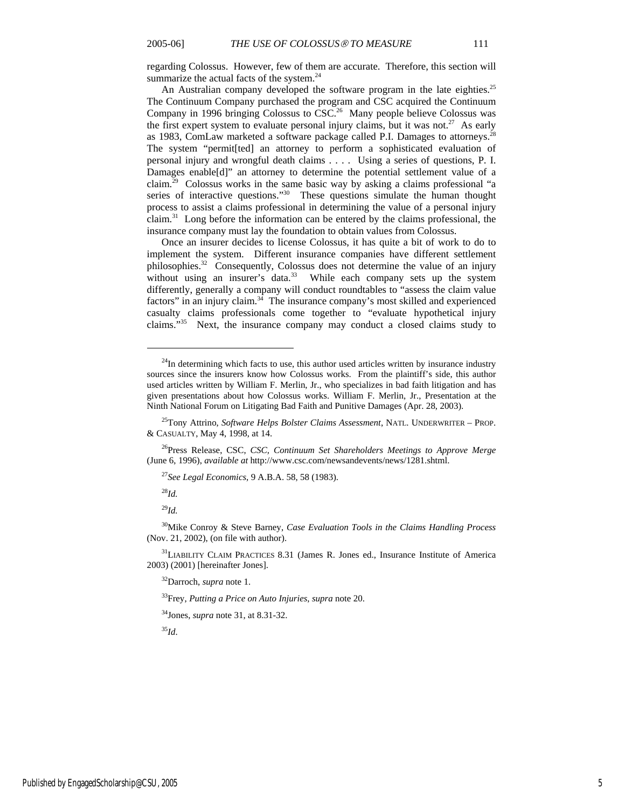regarding Colossus. However, few of them are accurate. Therefore, this section will summarize the actual facts of the system.<sup>24</sup>

An Australian company developed the software program in the late eighties.<sup>25</sup> The Continuum Company purchased the program and CSC acquired the Continuum Company in 1996 bringing Colossus to  $\overline{\text{CSC}}^{26}$  Many people believe Colossus was the first expert system to evaluate personal injury claims, but it was not.<sup>27</sup> As early as 1983, ComLaw marketed a software package called P.I. Damages to attorneys.<sup>28</sup> The system "permit[ted] an attorney to perform a sophisticated evaluation of personal injury and wrongful death claims . . . . Using a series of questions, P. I. Damages enable[d]" an attorney to determine the potential settlement value of a claim.29 Colossus works in the same basic way by asking a claims professional "a series of interactive questions."<sup>30</sup> These questions simulate the human thought process to assist a claims professional in determining the value of a personal injury claim.31 Long before the information can be entered by the claims professional, the insurance company must lay the foundation to obtain values from Colossus.

Once an insurer decides to license Colossus, it has quite a bit of work to do to implement the system. Different insurance companies have different settlement philosophies.32 Consequently, Colossus does not determine the value of an injury without using an insurer's data.<sup>33</sup> While each company sets up the system differently, generally a company will conduct roundtables to "assess the claim value factors" in an injury claim.34 The insurance company's most skilled and experienced casualty claims professionals come together to "evaluate hypothetical injury claims."35 Next, the insurance company may conduct a closed claims study to

<sup>28</sup>*Id.*

l

<sup>29</sup>*Id.*

30Mike Conroy & Steve Barney, *Case Evaluation Tools in the Claims Handling Process* (Nov. 21, 2002), (on file with author).

<sup>31</sup>LIABILITY CLAIM PRACTICES 8.31 (James R. Jones ed., Insurance Institute of America 2003) (2001) [hereinafter Jones].

32Darroch, *supra* note 1.

33Frey, *Putting a Price on Auto Injuries*, *supra* note 20.

34Jones, *supra* note 31, at 8.31-32.

<sup>35</sup>*Id*.

 $24$ In determining which facts to use, this author used articles written by insurance industry sources since the insurers know how Colossus works. From the plaintiff's side, this author used articles written by William F. Merlin, Jr., who specializes in bad faith litigation and has given presentations about how Colossus works. William F. Merlin, Jr., Presentation at the Ninth National Forum on Litigating Bad Faith and Punitive Damages (Apr. 28, 2003).

<sup>25</sup>Tony Attrino, *Software Helps Bolster Claims Assessment*, NATL. UNDERWRITER – PROP. & CASUALTY, May 4, 1998, at 14.

<sup>26</sup>Press Release, CSC, *CSC, Continuum Set Shareholders Meetings to Approve Merge* (June 6, 1996), *available at* http://www.csc.com/newsandevents/news/1281.shtml.

<sup>27</sup>*See Legal Economics*, 9 A.B.A. 58, 58 (1983).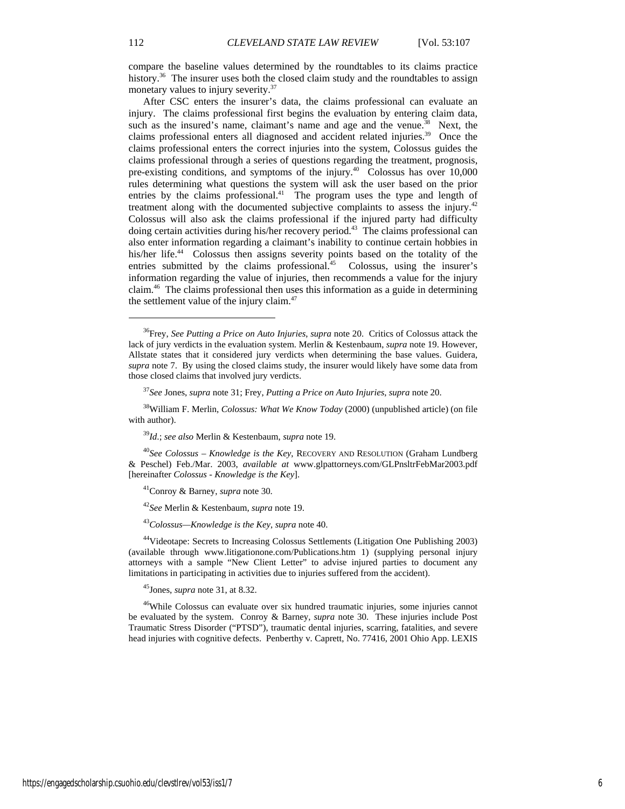compare the baseline values determined by the roundtables to its claims practice history.<sup>36</sup> The insurer uses both the closed claim study and the roundtables to assign monetary values to injury severity.<sup>37</sup>

After CSC enters the insurer's data, the claims professional can evaluate an injury. The claims professional first begins the evaluation by entering claim data, such as the insured's name, claimant's name and age and the venue.<sup>38</sup> Next, the claims professional enters all diagnosed and accident related injuries.<sup>39</sup> Once the claims professional enters the correct injuries into the system, Colossus guides the claims professional through a series of questions regarding the treatment, prognosis, pre-existing conditions, and symptoms of the injury.<sup>40</sup> Colossus has over 10,000 rules determining what questions the system will ask the user based on the prior entries by the claims professional.<sup>41</sup> The program uses the type and length of treatment along with the documented subjective complaints to assess the injury.<sup>42</sup> Colossus will also ask the claims professional if the injured party had difficulty doing certain activities during his/her recovery period.<sup>43</sup> The claims professional can also enter information regarding a claimant's inability to continue certain hobbies in his/her life.<sup>44</sup> Colossus then assigns severity points based on the totality of the entries submitted by the claims professional.<sup>45</sup> Colossus, using the insurer's information regarding the value of injuries, then recommends a value for the injury claim.46 The claims professional then uses this information as a guide in determining the settlement value of the injury claim.<sup>47</sup>

<sup>40</sup>*See Colossus – Knowledge is the Key*, RECOVERY AND RESOLUTION (Graham Lundberg & Peschel) Feb./Mar. 2003, *available at* www.glpattorneys.com/GLPnsltrFebMar2003.pdf [hereinafter *Colossus - Knowledge is the Key*].

<sup>42</sup>*See* Merlin & Kestenbaum, *supra* note 19.

<sup>43</sup>*Colossus—Knowledge is the Key*, *supra* note 40.

44Videotape: Secrets to Increasing Colossus Settlements (Litigation One Publishing 2003) (available through www.litigationone.com/Publications.htm 1) (supplying personal injury attorneys with a sample "New Client Letter" to advise injured parties to document any limitations in participating in activities due to injuries suffered from the accident).

45Jones, *supra* note 31, at 8.32.

46While Colossus can evaluate over six hundred traumatic injuries, some injuries cannot be evaluated by the system. Conroy & Barney, *supra* note 30. These injuries include Post Traumatic Stress Disorder ("PTSD"), traumatic dental injuries, scarring, fatalities, and severe head injuries with cognitive defects. Penberthy v. Caprett, No. 77416, 2001 Ohio App. LEXIS

<sup>36</sup>Frey, *See Putting a Price on Auto Injuries*, *supra* note 20. Critics of Colossus attack the lack of jury verdicts in the evaluation system. Merlin & Kestenbaum, *supra* note 19. However, Allstate states that it considered jury verdicts when determining the base values. Guidera, *supra* note 7. By using the closed claims study, the insurer would likely have some data from those closed claims that involved jury verdicts.

<sup>37</sup>*See* Jones, *supra* note 31; Frey, *Putting a Price on Auto Injuries*, *supra* note 20.

<sup>38</sup>William F. Merlin, *Colossus: What We Know Today* (2000) (unpublished article) (on file with author).

<sup>39</sup>*Id*.; *see also* Merlin & Kestenbaum, *supra* note 19.

<sup>41</sup>Conroy & Barney, *supra* note 30.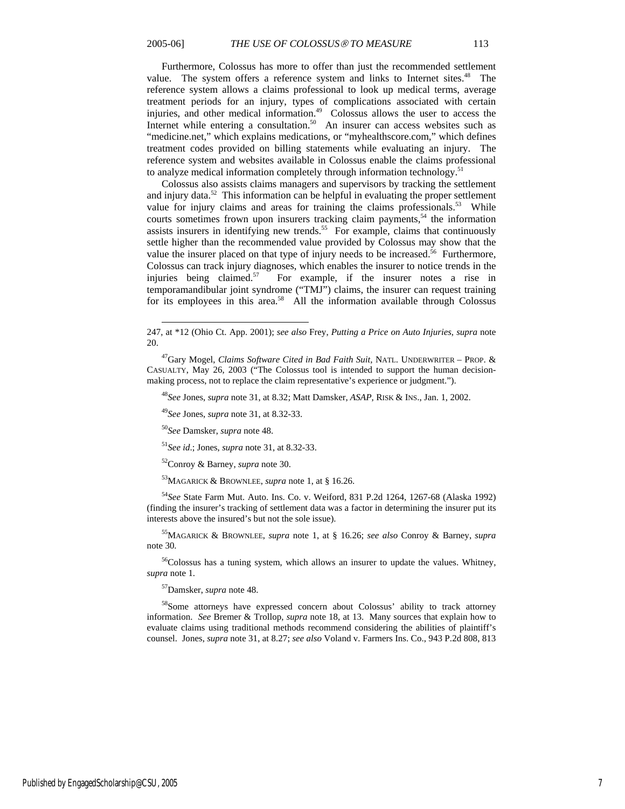l

Furthermore, Colossus has more to offer than just the recommended settlement value. The system offers a reference system and links to Internet sites.<sup>48</sup> The reference system allows a claims professional to look up medical terms, average treatment periods for an injury, types of complications associated with certain injuries, and other medical information.<sup>49</sup> Colossus allows the user to access the Internet while entering a consultation. $50$  An insurer can access websites such as "medicine.net," which explains medications, or "myhealthscore.com," which defines treatment codes provided on billing statements while evaluating an injury. The reference system and websites available in Colossus enable the claims professional to analyze medical information completely through information technology.<sup>51</sup>

Colossus also assists claims managers and supervisors by tracking the settlement and injury data.<sup>52</sup> This information can be helpful in evaluating the proper settlement value for injury claims and areas for training the claims professionals.<sup>53</sup> While courts sometimes frown upon insurers tracking claim payments,<sup>54</sup> the information assists insurers in identifying new trends.<sup>55</sup> For example, claims that continuously settle higher than the recommended value provided by Colossus may show that the value the insurer placed on that type of injury needs to be increased.<sup>56</sup> Furthermore, Colossus can track injury diagnoses, which enables the insurer to notice trends in the injuries being claimed.<sup>57</sup> For example, if the insurer notes a rise in temporamandibular joint syndrome ("TMJ") claims, the insurer can request training for its employees in this area.<sup>58</sup> All the information available through Colossus

<sup>48</sup>*See* Jones, *supra* note 31, at 8.32; Matt Damsker, *ASAP*, RISK & INS., Jan. 1, 2002.

<sup>49</sup>*See* Jones, *supra* note 31, at 8.32-33.

<sup>50</sup>*See* Damsker, *supra* note 48.

<sup>51</sup>*See id*.; Jones, *supra* note 31, at 8.32-33.

52Conroy & Barney, *supra* note 30.

53MAGARICK & BROWNLEE, *supra* note 1, at § 16.26.

<sup>54</sup>*See* State Farm Mut. Auto. Ins. Co. v. Weiford, 831 P.2d 1264, 1267-68 (Alaska 1992) (finding the insurer's tracking of settlement data was a factor in determining the insurer put its interests above the insured's but not the sole issue).

55MAGARICK & BROWNLEE, *supra* note 1, at § 16.26; *see also* Conroy & Barney, *supra*  note 30.

<sup>56</sup>Colossus has a tuning system, which allows an insurer to update the values. Whitney, *supra* note 1.

57Damsker, *supra* note 48.

58Some attorneys have expressed concern about Colossus' ability to track attorney information. *See* Bremer & Trollop, *supra* note 18, at 13. Many sources that explain how to evaluate claims using traditional methods recommend considering the abilities of plaintiff's counsel. Jones, *supra* note 31, at 8.27; *see also* Voland v. Farmers Ins. Co., 943 P.2d 808, 813

<sup>247,</sup> at \*12 (Ohio Ct. App. 2001); *see also* Frey, *Putting a Price on Auto Injuries*, *supra* note 20.

<sup>47</sup>Gary Mogel, *Claims Software Cited in Bad Faith Suit,* NATL. UNDERWRITER – PROP. & CASUALTY, May 26, 2003 ("The Colossus tool is intended to support the human decisionmaking process, not to replace the claim representative's experience or judgment.").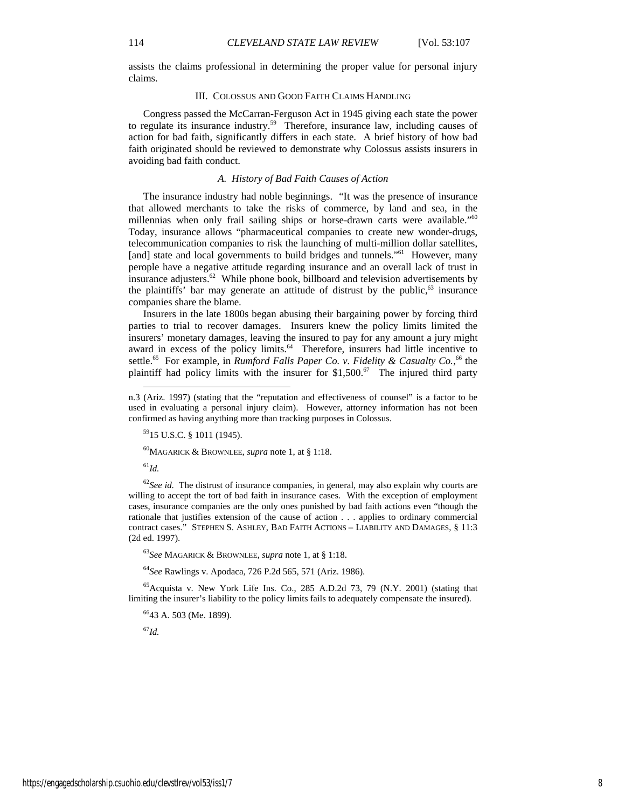assists the claims professional in determining the proper value for personal injury claims.

#### III. COLOSSUS AND GOOD FAITH CLAIMS HANDLING

Congress passed the McCarran-Ferguson Act in 1945 giving each state the power to regulate its insurance industry.59 Therefore, insurance law, including causes of action for bad faith, significantly differs in each state. A brief history of how bad faith originated should be reviewed to demonstrate why Colossus assists insurers in avoiding bad faith conduct.

#### *A. History of Bad Faith Causes of Action*

The insurance industry had noble beginnings. "It was the presence of insurance that allowed merchants to take the risks of commerce, by land and sea, in the millennias when only frail sailing ships or horse-drawn carts were available."<sup>60</sup> Today, insurance allows "pharmaceutical companies to create new wonder-drugs, telecommunication companies to risk the launching of multi-million dollar satellites, [and] state and local governments to build bridges and tunnels."<sup>61</sup> However, many perople have a negative attitude regarding insurance and an overall lack of trust in insurance adjusters.<sup>62</sup> While phone book, billboard and television advertisements by the plaintiffs' bar may generate an attitude of distrust by the public, $63$  insurance companies share the blame.

Insurers in the late 1800s began abusing their bargaining power by forcing third parties to trial to recover damages. Insurers knew the policy limits limited the insurers' monetary damages, leaving the insured to pay for any amount a jury might award in excess of the policy limits.<sup>64</sup> Therefore, insurers had little incentive to settle.<sup>65</sup> For example, in *Rumford Falls Paper Co. v. Fidelity & Casualty Co.*,<sup>66</sup> the plaintiff had policy limits with the insurer for  $$1,500<sup>67</sup>$  The injured third party

5915 U.S.C. § 1011 (1945).

60MAGARICK & BROWNLEE, *supra* note 1, at § 1:18.

<sup>61</sup>*Id.*

l

<sup>62</sup>See id. The distrust of insurance companies, in general, may also explain why courts are willing to accept the tort of bad faith in insurance cases. With the exception of employment cases, insurance companies are the only ones punished by bad faith actions even "though the rationale that justifies extension of the cause of action . . . applies to ordinary commercial contract cases." STEPHEN S. ASHLEY, BAD FAITH ACTIONS – LIABILITY AND DAMAGES, § 11:3 (2d ed. 1997).

<sup>63</sup>*See* MAGARICK & BROWNLEE, *supra* note 1, at § 1:18.

<sup>64</sup>*See* Rawlings v. Apodaca, 726 P.2d 565, 571 (Ariz. 1986).

 $^{65}$ Acquista v. New York Life Ins. Co., 285 A.D.2d 73, 79 (N.Y. 2001) (stating that limiting the insurer's liability to the policy limits fails to adequately compensate the insured).

6643 A. 503 (Me. 1899).

<sup>67</sup>*Id.*

n.3 (Ariz. 1997) (stating that the "reputation and effectiveness of counsel" is a factor to be used in evaluating a personal injury claim). However, attorney information has not been confirmed as having anything more than tracking purposes in Colossus.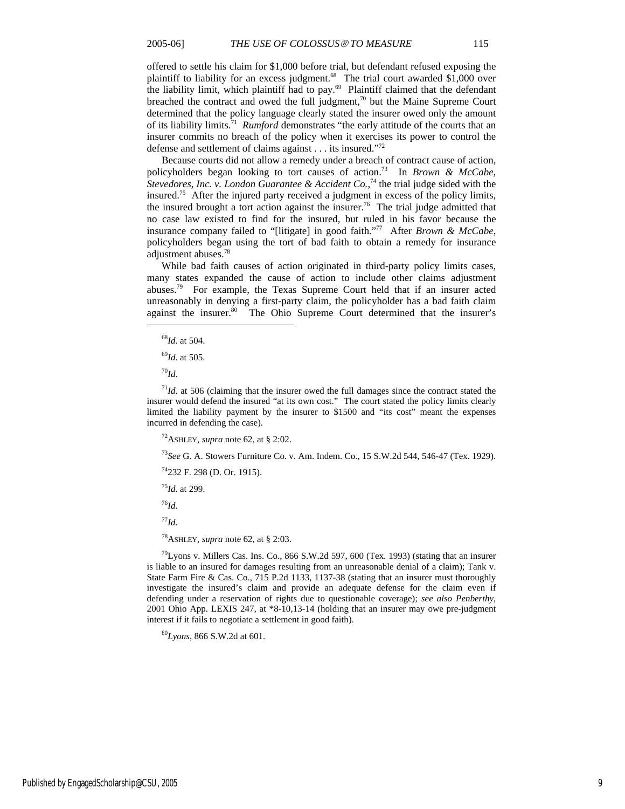offered to settle his claim for \$1,000 before trial, but defendant refused exposing the plaintiff to liability for an excess judgment.<sup>68</sup> The trial court awarded \$1,000 over the liability limit, which plaintiff had to pay.<sup>69</sup> Plaintiff claimed that the defendant breached the contract and owed the full judgment,<sup>70</sup> but the Maine Supreme Court determined that the policy language clearly stated the insurer owed only the amount of its liability limits.71 *Rumford* demonstrates "the early attitude of the courts that an insurer commits no breach of the policy when it exercises its power to control the defense and settlement of claims against . . . its insured."72

Because courts did not allow a remedy under a breach of contract cause of action, policyholders began looking to tort causes of action.73 In *Brown & McCabe,*  Stevedores, Inc. v. London Guarantee & Accident Co.,<sup>74</sup> the trial judge sided with the insured.75 After the injured party received a judgment in excess of the policy limits, the insured brought a tort action against the insurer.<sup>76</sup> The trial judge admitted that no case law existed to find for the insured, but ruled in his favor because the insurance company failed to "[litigate] in good faith."77 After *Brown & McCabe*, policyholders began using the tort of bad faith to obtain a remedy for insurance adjustment abuses.78

While bad faith causes of action originated in third-party policy limits cases, many states expanded the cause of action to include other claims adjustment abuses.79 For example, the Texas Supreme Court held that if an insurer acted unreasonably in denying a first-party claim, the policyholder has a bad faith claim against the insurer.<sup>80</sup> The Ohio Supreme Court determined that the insurer's

 $\overline{a}$ 

<sup>71</sup>*Id*. at 506 (claiming that the insurer owed the full damages since the contract stated the insurer would defend the insured "at its own cost." The court stated the policy limits clearly limited the liability payment by the insurer to \$1500 and "its cost" meant the expenses incurred in defending the case).

<sup>72</sup>ASHLEY, *supra* note 62, at § 2:02.

<sup>73</sup>*See* G. A. Stowers Furniture Co. v. Am. Indem. Co., 15 S.W.2d 544, 546-47 (Tex. 1929).

74232 F. 298 (D. Or. 1915).

<sup>75</sup>*Id*. at 299.

<sup>76</sup>*Id.*

<sup>77</sup>*Id*.

78ASHLEY, *supra* note 62, at § 2:03.

 $^{79}$ Lyons v. Millers Cas. Ins. Co., 866 S.W.2d 597, 600 (Tex. 1993) (stating that an insurer is liable to an insured for damages resulting from an unreasonable denial of a claim); Tank v. State Farm Fire & Cas. Co., 715 P.2d 1133, 1137-38 (stating that an insurer must thoroughly investigate the insured's claim and provide an adequate defense for the claim even if defending under a reservation of rights due to questionable coverage); *see also Penberthy*, 2001 Ohio App. LEXIS 247, at \*8-10,13-14 (holding that an insurer may owe pre-judgment interest if it fails to negotiate a settlement in good faith).

<sup>80</sup>*Lyons*, 866 S.W.2d at 601.

<sup>68</sup>*Id*. at 504.

<sup>69</sup>*Id*. at 505.

<sup>70</sup>*Id*.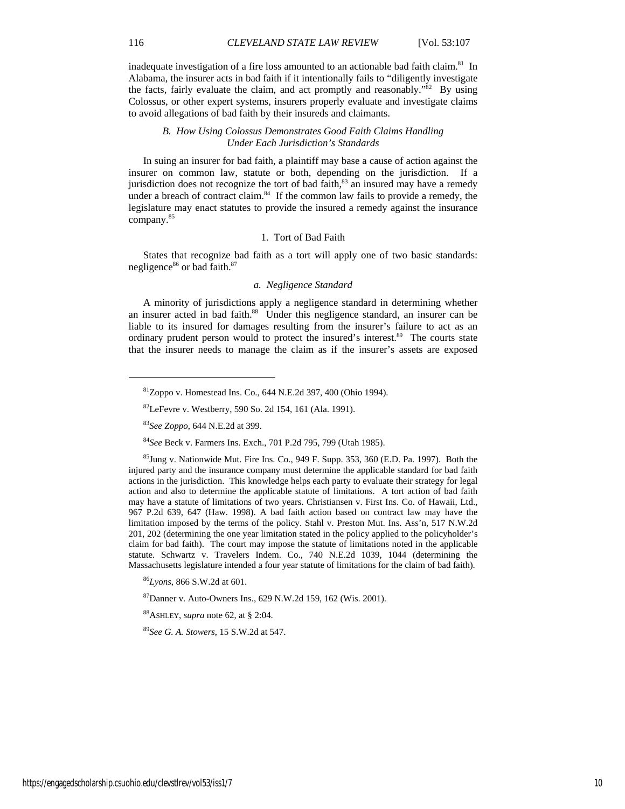inadequate investigation of a fire loss amounted to an actionable bad faith claim.<sup>81</sup> In Alabama, the insurer acts in bad faith if it intentionally fails to "diligently investigate the facts, fairly evaluate the claim, and act promptly and reasonably." $82$  By using Colossus, or other expert systems, insurers properly evaluate and investigate claims to avoid allegations of bad faith by their insureds and claimants.

#### *B. How Using Colossus Demonstrates Good Faith Claims Handling Under Each Jurisdiction's Standards*

In suing an insurer for bad faith, a plaintiff may base a cause of action against the insurer on common law, statute or both, depending on the jurisdiction. If a jurisdiction does not recognize the tort of bad faith,<sup>83</sup> an insured may have a remedy under a breach of contract claim. $84$  If the common law fails to provide a remedy, the legislature may enact statutes to provide the insured a remedy against the insurance company.85

#### 1. Tort of Bad Faith

States that recognize bad faith as a tort will apply one of two basic standards: negligence<sup>86</sup> or bad faith.<sup>87</sup>

#### *a. Negligence Standard*

A minority of jurisdictions apply a negligence standard in determining whether an insurer acted in bad faith.<sup>88</sup> Under this negligence standard, an insurer can be liable to its insured for damages resulting from the insurer's failure to act as an ordinary prudent person would to protect the insured's interest.<sup>89</sup> The courts state that the insurer needs to manage the claim as if the insurer's assets are exposed

<sup>84</sup>*See* Beck v. Farmers Ins. Exch., 701 P.2d 795, 799 (Utah 1985).

 $85$ Jung v. Nationwide Mut. Fire Ins. Co., 949 F. Supp. 353, 360 (E.D. Pa. 1997). Both the injured party and the insurance company must determine the applicable standard for bad faith actions in the jurisdiction. This knowledge helps each party to evaluate their strategy for legal action and also to determine the applicable statute of limitations. A tort action of bad faith may have a statute of limitations of two years. Christiansen v. First Ins. Co. of Hawaii, Ltd., 967 P.2d 639, 647 (Haw. 1998). A bad faith action based on contract law may have the limitation imposed by the terms of the policy. Stahl v. Preston Mut. Ins. Ass'n, 517 N.W.2d 201, 202 (determining the one year limitation stated in the policy applied to the policyholder's claim for bad faith). The court may impose the statute of limitations noted in the applicable statute. Schwartz v. Travelers Indem. Co., 740 N.E.2d 1039, 1044 (determining the Massachusetts legislature intended a four year statute of limitations for the claim of bad faith).

<sup>86</sup>*Lyons*, 866 S.W.2d at 601.

 ${}^{87}$ Danner v. Auto-Owners Ins., 629 N.W.2d 159, 162 (Wis. 2001).

88ASHLEY, *supra* note 62, at § 2:04.

<sup>89</sup>*See G. A. Stowers*, 15 S.W.2d at 547.

<sup>81</sup>Zoppo v. Homestead Ins. Co., 644 N.E.2d 397, 400 (Ohio 1994).

<sup>82</sup>LeFevre v. Westberry, 590 So. 2d 154, 161 (Ala. 1991).

<sup>83</sup>*See Zoppo*, 644 N.E.2d at 399.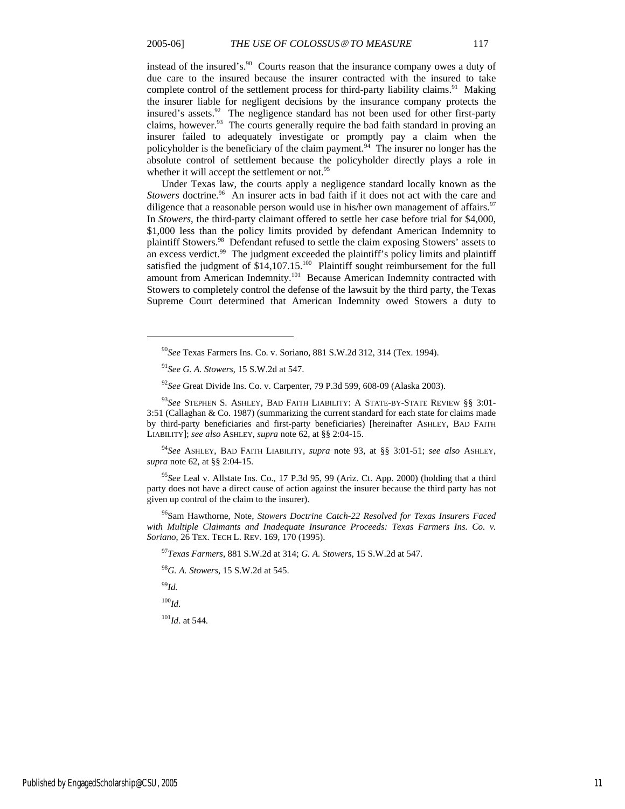instead of the insured's.<sup>90</sup> Courts reason that the insurance company owes a duty of due care to the insured because the insurer contracted with the insured to take complete control of the settlement process for third-party liability claims.<sup>91</sup> Making the insurer liable for negligent decisions by the insurance company protects the insured's assets.92 The negligence standard has not been used for other first-party claims, however.<sup>93</sup> The courts generally require the bad faith standard in proving an insurer failed to adequately investigate or promptly pay a claim when the policyholder is the beneficiary of the claim payment.<sup>94</sup> The insurer no longer has the absolute control of settlement because the policyholder directly plays a role in whether it will accept the settlement or not.<sup>95</sup>

Under Texas law, the courts apply a negligence standard locally known as the *Stowers* doctrine.<sup>96</sup> An insurer acts in bad faith if it does not act with the care and diligence that a reasonable person would use in his/her own management of affairs.<sup>97</sup> In *Stowers*, the third-party claimant offered to settle her case before trial for \$4,000, \$1,000 less than the policy limits provided by defendant American Indemnity to plaintiff Stowers.98 Defendant refused to settle the claim exposing Stowers' assets to an excess verdict. $99$  The judgment exceeded the plaintiff's policy limits and plaintiff satisfied the judgment of \$14,107.15.<sup>100</sup> Plaintiff sought reimbursement for the full amount from American Indemnity.101 Because American Indemnity contracted with Stowers to completely control the defense of the lawsuit by the third party, the Texas Supreme Court determined that American Indemnity owed Stowers a duty to

<sup>94</sup>*See* ASHLEY, BAD FAITH LIABILITY, *supra* note 93, at §§ 3:01-51; *see also* ASHLEY, *supra* note 62, at §§ 2:04-15.

<sup>95</sup>*See* Leal v. Allstate Ins. Co., 17 P.3d 95, 99 (Ariz. Ct. App. 2000) (holding that a third party does not have a direct cause of action against the insurer because the third party has not given up control of the claim to the insurer).

96Sam Hawthorne, Note*, Stowers Doctrine Catch-22 Resolved for Texas Insurers Faced*  with Multiple Claimants and Inadequate Insurance Proceeds: Texas Farmers Ins. Co. v. *Soriano*, 26 TEX. TECH L. REV. 169, 170 (1995).

<sup>97</sup>*Texas Farmers*, 881 S.W.2d at 314; *G. A. Stowers*, 15 S.W.2d at 547.

<sup>98</sup>*G. A. Stowers*, 15 S.W.2d at 545.

<sup>99</sup>*Id.*

 $\overline{a}$ 

<sup>100</sup>*Id.*

<sup>101</sup>*Id*. at 544.

<sup>90</sup>*See* Texas Farmers Ins. Co. v. Soriano, 881 S.W.2d 312, 314 (Tex. 1994).

<sup>91</sup>*See G. A. Stowers*, 15 S.W.2d at 547.

<sup>92</sup>*See* Great Divide Ins. Co. v. Carpenter, 79 P.3d 599, 608-09 (Alaska 2003).

<sup>93</sup>*See* STEPHEN S. ASHLEY, BAD FAITH LIABILITY: A STATE-BY-STATE REVIEW §§ 3:01- 3:51 (Callaghan & Co. 1987) (summarizing the current standard for each state for claims made by third-party beneficiaries and first-party beneficiaries) [hereinafter ASHLEY, BAD FAITH LIABILITY]; *see also* ASHLEY, *supra* note 62, at §§ 2:04-15.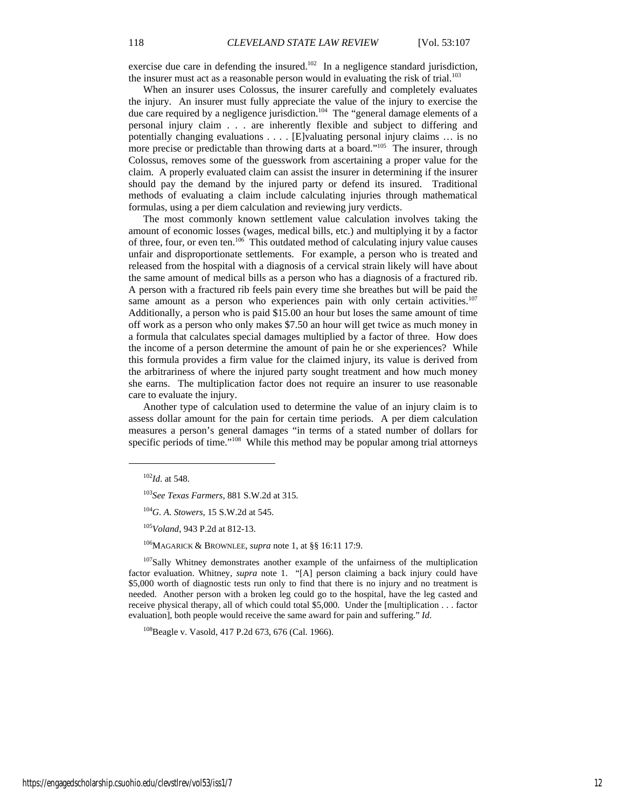exercise due care in defending the insured.<sup>102</sup> In a negligence standard jurisdiction, the insurer must act as a reasonable person would in evaluating the risk of trial.<sup>103</sup>

When an insurer uses Colossus, the insurer carefully and completely evaluates the injury. An insurer must fully appreciate the value of the injury to exercise the due care required by a negligence jurisdiction.<sup>104</sup> The "general damage elements of a personal injury claim . . . are inherently flexible and subject to differing and potentially changing evaluations . . . . [E]valuating personal injury claims … is no more precise or predictable than throwing darts at a board."<sup>105</sup> The insurer, through Colossus, removes some of the guesswork from ascertaining a proper value for the claim. A properly evaluated claim can assist the insurer in determining if the insurer should pay the demand by the injured party or defend its insured. Traditional methods of evaluating a claim include calculating injuries through mathematical formulas, using a per diem calculation and reviewing jury verdicts.

The most commonly known settlement value calculation involves taking the amount of economic losses (wages, medical bills, etc.) and multiplying it by a factor of three, four, or even ten.106 This outdated method of calculating injury value causes unfair and disproportionate settlements. For example, a person who is treated and released from the hospital with a diagnosis of a cervical strain likely will have about the same amount of medical bills as a person who has a diagnosis of a fractured rib. A person with a fractured rib feels pain every time she breathes but will be paid the same amount as a person who experiences pain with only certain activities.<sup>107</sup> Additionally, a person who is paid \$15.00 an hour but loses the same amount of time off work as a person who only makes \$7.50 an hour will get twice as much money in a formula that calculates special damages multiplied by a factor of three. How does the income of a person determine the amount of pain he or she experiences? While this formula provides a firm value for the claimed injury, its value is derived from the arbitrariness of where the injured party sought treatment and how much money she earns. The multiplication factor does not require an insurer to use reasonable care to evaluate the injury.

Another type of calculation used to determine the value of an injury claim is to assess dollar amount for the pain for certain time periods. A per diem calculation measures a person's general damages "in terms of a stated number of dollars for specific periods of time."<sup>108</sup> While this method may be popular among trial attorneys

 $\overline{a}$ 

106MAGARICK & BROWNLEE, *supra* note 1, at §§ 16:11 17:9.

<sup>107</sup>Sally Whitney demonstrates another example of the unfairness of the multiplication factor evaluation. Whitney, *supra* note 1. "[A] person claiming a back injury could have \$5,000 worth of diagnostic tests run only to find that there is no injury and no treatment is needed. Another person with a broken leg could go to the hospital, have the leg casted and receive physical therapy, all of which could total \$5,000. Under the [multiplication . . . factor evaluation], both people would receive the same award for pain and suffering." *Id*.

<sup>108</sup>Beagle v. Vasold, 417 P.2d 673, 676 (Cal. 1966).

<sup>102</sup>*Id*. at 548.

<sup>103</sup>*See Texas Farmers*, 881 S.W.2d at 315.

<sup>104</sup>*G. A. Stowers*, 15 S.W.2d at 545.

<sup>105</sup>*Voland*, 943 P.2d at 812-13.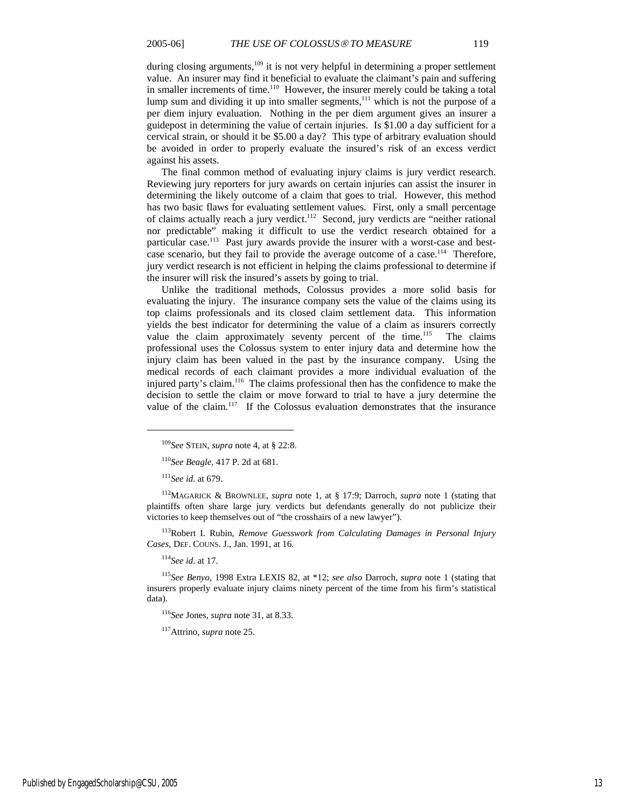during closing arguments,<sup>109</sup> it is not very helpful in determining a proper settlement value. An insurer may find it beneficial to evaluate the claimant's pain and suffering in smaller increments of time.<sup>110</sup> However, the insurer merely could be taking a total lump sum and dividing it up into smaller segments,<sup>111</sup> which is not the purpose of a per diem injury evaluation. Nothing in the per diem argument gives an insurer a guidepost in determining the value of certain injuries. Is \$1.00 a day sufficient for a cervical strain, or should it be \$5.00 a day? This type of arbitrary evaluation should be avoided in order to properly evaluate the insured's risk of an excess verdict against his assets.

The final common method of evaluating injury claims is jury verdict research. Reviewing jury reporters for jury awards on certain injuries can assist the insurer in determining the likely outcome of a claim that goes to trial. However, this method has two basic flaws for evaluating settlement values. First, only a small percentage of claims actually reach a jury verdict.<sup>112</sup> Second, jury verdicts are "neither rational nor predictable" making it difficult to use the verdict research obtained for a particular case.<sup>113</sup> Past jury awards provide the insurer with a worst-case and bestcase scenario, but they fail to provide the average outcome of a case.<sup>114</sup> Therefore, jury verdict research is not efficient in helping the claims professional to determine if the insurer will risk the insured's assets by going to trial.

Unlike the traditional methods, Colossus provides a more solid basis for evaluating the injury. The insurance company sets the value of the claims using its top claims professionals and its closed claim settlement data. This information yields the best indicator for determining the value of a claim as insurers correctly value the claim approximately seventy percent of the time.<sup>115</sup> The claims professional uses the Colossus system to enter injury data and determine how the injury claim has been valued in the past by the insurance company. Using the medical records of each claimant provides a more individual evaluation of the injured party's claim.116 The claims professional then has the confidence to make the decision to settle the claim or move forward to trial to have a jury determine the value of the claim.<sup>117</sup> If the Colossus evaluation demonstrates that the insurance

<sup>111</sup>*See id*. at 679.

 $\overline{a}$ 

112MAGARICK & BROWNLEE, *supra* note 1, at § 17:9; Darroch, *supra* note 1 (stating that plaintiffs often share large jury verdicts but defendants generally do not publicize their victories to keep themselves out of "the crosshairs of a new lawyer").

113Robert I. Rubin, *Remove Guesswork from Calculating Damages in Personal Injury Cases*, DEF. COUNS. J., Jan. 1991, at 16.

<sup>114</sup>*See id*. at 17.

<sup>115</sup>*See Benyo*, 1998 Extra LEXIS 82, at \*12; *see also* Darroch, *supra* note 1 (stating that insurers properly evaluate injury claims ninety percent of the time from his firm's statistical data).

<sup>116</sup>*See* Jones, *supra* note 31, at 8.33.

117Attrino, *supra* note 25.

<sup>109</sup>*See* STEIN, *supra* note 4, at § 22:8.

<sup>110</sup>*See Beagle*, 417 P. 2d at 681.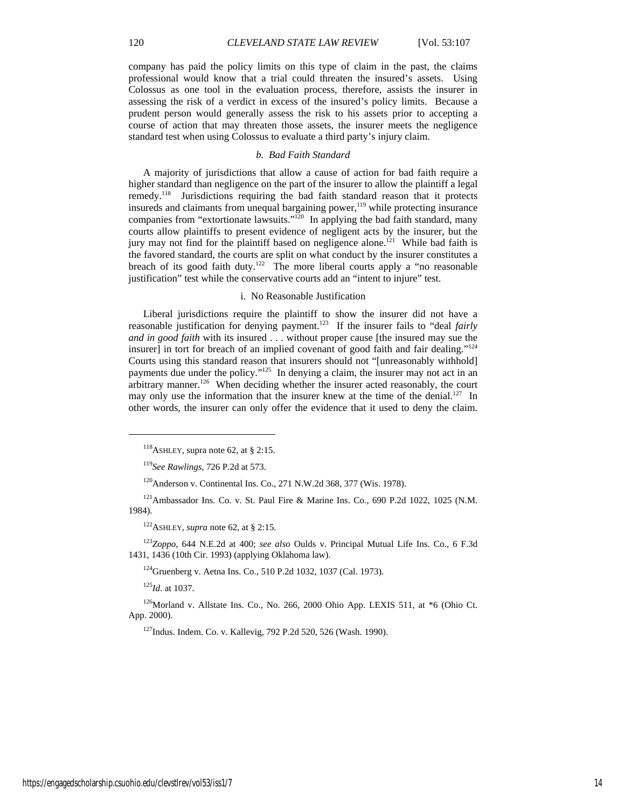company has paid the policy limits on this type of claim in the past, the claims professional would know that a trial could threaten the insured's assets. Using Colossus as one tool in the evaluation process, therefore, assists the insurer in assessing the risk of a verdict in excess of the insured's policy limits. Because a prudent person would generally assess the risk to his assets prior to accepting a course of action that may threaten those assets, the insurer meets the negligence standard test when using Colossus to evaluate a third party's injury claim.

### *b. Bad Faith Standard*

A majority of jurisdictions that allow a cause of action for bad faith require a higher standard than negligence on the part of the insurer to allow the plaintiff a legal remedy.118 Jurisdictions requiring the bad faith standard reason that it protects insureds and claimants from unequal bargaining power,<sup>119</sup> while protecting insurance companies from "extortionate lawsuits."<sup>120</sup> In applying the bad faith standard, many courts allow plaintiffs to present evidence of negligent acts by the insurer, but the jury may not find for the plaintiff based on negligence alone.<sup>121</sup> While bad faith is the favored standard, the courts are split on what conduct by the insurer constitutes a breach of its good faith duty.<sup>122</sup> The more liberal courts apply a "no reasonable" justification" test while the conservative courts add an "intent to injure" test.

#### i. No Reasonable Justification

Liberal jurisdictions require the plaintiff to show the insurer did not have a reasonable justification for denying payment.123 If the insurer fails to "deal *fairly and in good faith* with its insured . . . without proper cause [the insured may sue the insurer] in tort for breach of an implied covenant of good faith and fair dealing."<sup>124</sup> Courts using this standard reason that insurers should not "[unreasonably withhold] payments due under the policy."<sup>125</sup> In denying a claim, the insurer may not act in an arbitrary manner.126 When deciding whether the insurer acted reasonably, the court may only use the information that the insurer knew at the time of the denial.<sup>127</sup> In other words, the insurer can only offer the evidence that it used to deny the claim.

122ASHLEY, *supra* note 62, at § 2:15.

<sup>123</sup>*Zoppo*, 644 N.E.2d at 400; *see also* Oulds v. Principal Mutual Life Ins. Co., 6 F.3d 1431, 1436 (10th Cir. 1993) (applying Oklahoma law).

<sup>124</sup> Gruenberg v. Aetna Ins. Co., 510 P.2d 1032, 1037 (Cal. 1973).

<sup>125</sup>*Id*. at 1037.

 $\overline{a}$ 

126Morland v. Allstate Ins. Co., No. 266, 2000 Ohio App. LEXIS 511, at \*6 (Ohio Ct. App. 2000).

127Indus. Indem. Co. v. Kallevig, 792 P.2d 520, 526 (Wash. 1990).

<sup>118</sup>ASHLEY, supra note 62, at § 2:15.

<sup>119</sup>*See Rawlings*, 726 P.2d at 573.

<sup>120</sup>Anderson v. Continental Ins. Co., 271 N.W.2d 368, 377 (Wis. 1978).

 $121$ Ambassador Ins. Co. v. St. Paul Fire & Marine Ins. Co., 690 P.2d 1022, 1025 (N.M. 1984).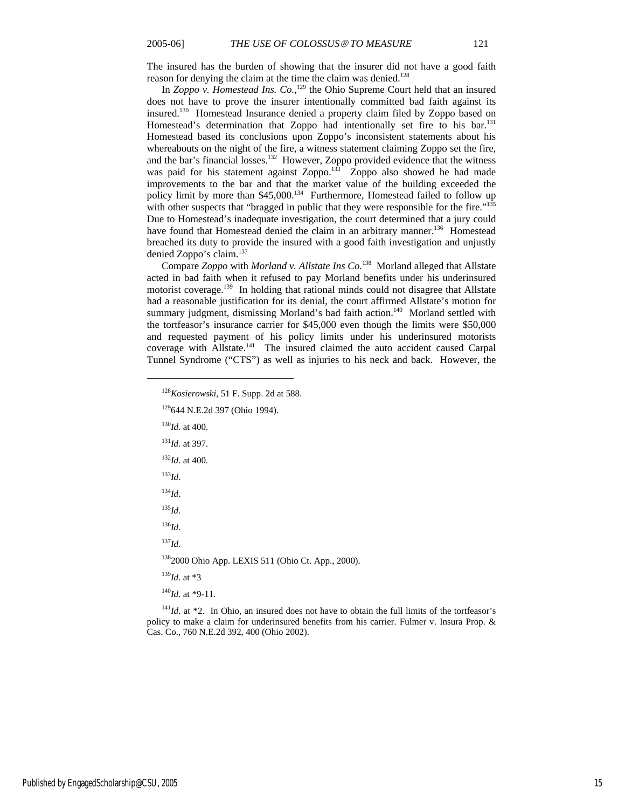The insured has the burden of showing that the insurer did not have a good faith reason for denying the claim at the time the claim was denied.<sup>128</sup>

In *Zoppo v. Homestead Ins.* Co.,<sup>129</sup> the Ohio Supreme Court held that an insured does not have to prove the insurer intentionally committed bad faith against its insured.130 Homestead Insurance denied a property claim filed by Zoppo based on Homestead's determination that Zoppo had intentionally set fire to his bar.<sup>131</sup> Homestead based its conclusions upon Zoppo's inconsistent statements about his whereabouts on the night of the fire, a witness statement claiming Zoppo set the fire, and the bar's financial losses.<sup>132</sup> However, Zoppo provided evidence that the witness was paid for his statement against Zoppo.<sup>133</sup> Zoppo also showed he had made improvements to the bar and that the market value of the building exceeded the policy limit by more than \$45,000.<sup>134</sup> Furthermore, Homestead failed to follow up with other suspects that "bragged in public that they were responsible for the fire."<sup>135</sup> Due to Homestead's inadequate investigation, the court determined that a jury could have found that Homestead denied the claim in an arbitrary manner.<sup>136</sup> Homestead breached its duty to provide the insured with a good faith investigation and unjustly denied Zoppo's claim.<sup>137</sup>

Compare *Zoppo* with *Morland v. Allstate Ins Co.*138 Morland alleged that Allstate acted in bad faith when it refused to pay Morland benefits under his underinsured motorist coverage.139 In holding that rational minds could not disagree that Allstate had a reasonable justification for its denial, the court affirmed Allstate's motion for summary judgment, dismissing Morland's bad faith action.<sup>140</sup> Morland settled with the tortfeasor's insurance carrier for \$45,000 even though the limits were \$50,000 and requested payment of his policy limits under his underinsured motorists coverage with Allstate.<sup>141</sup> The insured claimed the auto accident caused Carpal Tunnel Syndrome ("CTS") as well as injuries to his neck and back. However, the

- <sup>129</sup>644 N.E.2d 397 (Ohio 1994).
- <sup>130</sup>*Id*. at 400.
- <sup>131</sup>*Id*. at 397.
- <sup>132</sup>*Id*. at 400.
- <sup>133</sup>*Id*.

 $\overline{a}$ 

- <sup>134</sup>*Id*.
- <sup>135</sup>*Id*.
- <sup>136</sup>*Id*.

<sup>137</sup>*Id*.

1382000 Ohio App. LEXIS 511 (Ohio Ct. App., 2000).

<sup>139</sup>*Id*. at \*3

<sup>140</sup>*Id*. at \*9-11.

<sup>141</sup>*Id.* at \*2. In Ohio, an insured does not have to obtain the full limits of the tortfeasor's policy to make a claim for underinsured benefits from his carrier. Fulmer v. Insura Prop. & Cas. Co., 760 N.E.2d 392, 400 (Ohio 2002).

<sup>128</sup>*Kosierowski*, 51 F. Supp. 2d at 588.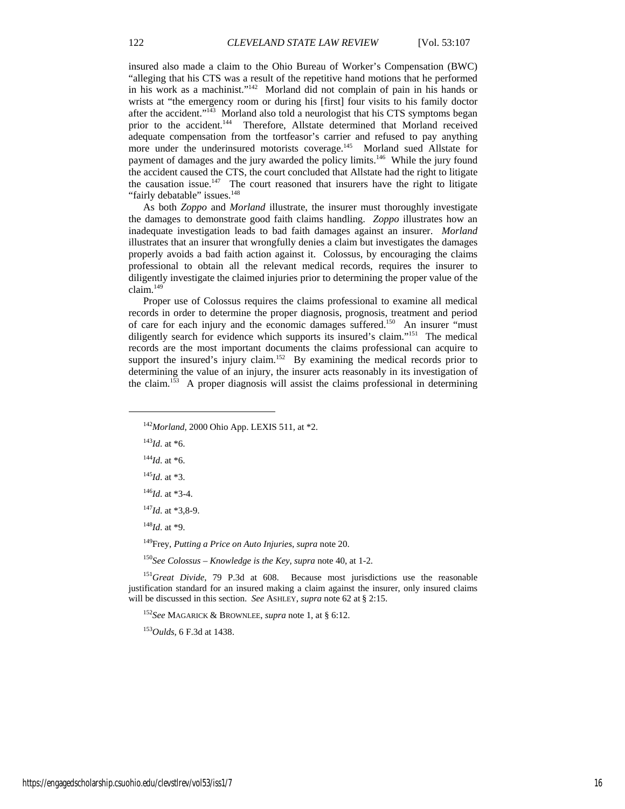insured also made a claim to the Ohio Bureau of Worker's Compensation (BWC) "alleging that his CTS was a result of the repetitive hand motions that he performed in his work as a machinist."142 Morland did not complain of pain in his hands or wrists at "the emergency room or during his [first] four visits to his family doctor after the accident."<sup>143</sup> Morland also told a neurologist that his CTS symptoms began prior to the accident.<sup>144</sup> Therefore, Allstate determined that Morland received adequate compensation from the tortfeasor's carrier and refused to pay anything more under the underinsured motorists coverage.<sup>145</sup> Morland sued Allstate for payment of damages and the jury awarded the policy limits.<sup>146</sup> While the jury found the accident caused the CTS, the court concluded that Allstate had the right to litigate the causation issue.<sup>147</sup> The court reasoned that insurers have the right to litigate "fairly debatable" issues.<sup>148</sup>

As both *Zoppo* and *Morland* illustrate, the insurer must thoroughly investigate the damages to demonstrate good faith claims handling. *Zoppo* illustrates how an inadequate investigation leads to bad faith damages against an insurer. *Morland*  illustrates that an insurer that wrongfully denies a claim but investigates the damages properly avoids a bad faith action against it. Colossus, by encouraging the claims professional to obtain all the relevant medical records, requires the insurer to diligently investigate the claimed injuries prior to determining the proper value of the  $claim.<sup>149</sup>$ 

Proper use of Colossus requires the claims professional to examine all medical records in order to determine the proper diagnosis, prognosis, treatment and period of care for each injury and the economic damages suffered.<sup>150</sup> An insurer "must diligently search for evidence which supports its insured's claim."<sup>151</sup> The medical records are the most important documents the claims professional can acquire to support the insured's injury claim.<sup>152</sup> By examining the medical records prior to determining the value of an injury, the insurer acts reasonably in its investigation of the claim.153 A proper diagnosis will assist the claims professional in determining

<sup>143</sup>*Id*. at \*6.

 $\overline{a}$ 

 $144$ *Id.* at \*6.

<sup>145</sup>*Id*. at \*3.

<sup>146</sup>*Id*. at \*3-4.

<sup>147</sup>*Id*. at \*3,8-9.

<sup>148</sup>*Id*. at \*9.

149Frey, *Putting a Price on Auto Injuries*, *supra* note 20.

<sup>150</sup>*See Colossus – Knowledge is the Key*, *supra* note 40, at 1-2.

<sup>151</sup>Great Divide, 79 P.3d at 608. Because most jurisdictions use the reasonable justification standard for an insured making a claim against the insurer, only insured claims will be discussed in this section. *See* ASHLEY, *supra* note 62 at § 2:15.

<sup>152</sup>*See* MAGARICK & BROWNLEE, *supra* note 1, at § 6:12.

<sup>153</sup>*Oulds*, 6 F.3d at 1438.

<sup>142</sup>*Morland*, 2000 Ohio App. LEXIS 511, at \*2.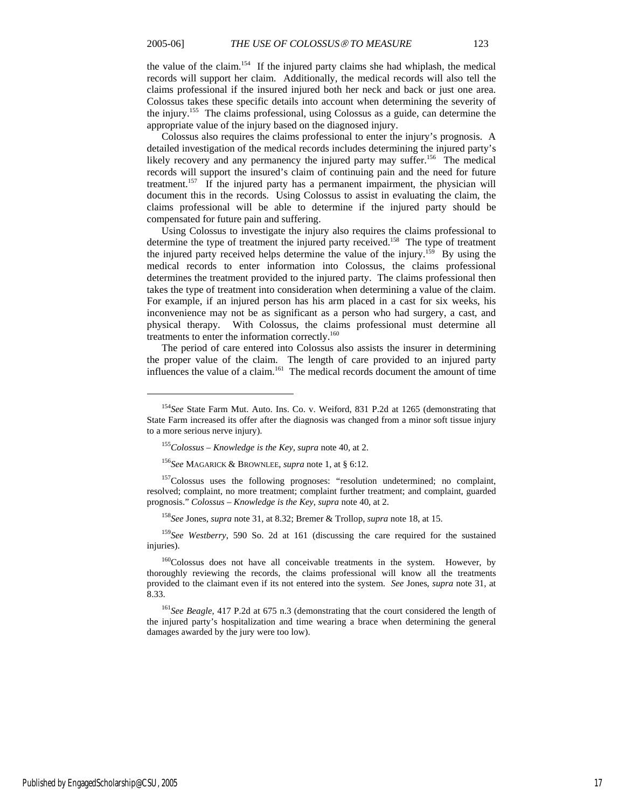the value of the claim.154 If the injured party claims she had whiplash, the medical records will support her claim. Additionally, the medical records will also tell the claims professional if the insured injured both her neck and back or just one area. Colossus takes these specific details into account when determining the severity of the injury.155 The claims professional, using Colossus as a guide, can determine the appropriate value of the injury based on the diagnosed injury.

Colossus also requires the claims professional to enter the injury's prognosis. A detailed investigation of the medical records includes determining the injured party's likely recovery and any permanency the injured party may suffer.<sup>156</sup> The medical records will support the insured's claim of continuing pain and the need for future treatment.<sup>157</sup> If the injured party has a permanent impairment, the physician will document this in the records. Using Colossus to assist in evaluating the claim, the claims professional will be able to determine if the injured party should be compensated for future pain and suffering.

Using Colossus to investigate the injury also requires the claims professional to determine the type of treatment the injured party received.158 The type of treatment the injured party received helps determine the value of the injury.<sup>159</sup> By using the medical records to enter information into Colossus, the claims professional determines the treatment provided to the injured party. The claims professional then takes the type of treatment into consideration when determining a value of the claim. For example, if an injured person has his arm placed in a cast for six weeks, his inconvenience may not be as significant as a person who had surgery, a cast, and physical therapy. With Colossus, the claims professional must determine all treatments to enter the information correctly.<sup>160</sup>

The period of care entered into Colossus also assists the insurer in determining the proper value of the claim. The length of care provided to an injured party influences the value of a claim.161 The medical records document the amount of time

<sup>157</sup>Colossus uses the following prognoses: "resolution undetermined; no complaint, resolved; complaint, no more treatment; complaint further treatment; and complaint, guarded prognosis." *Colossus – Knowledge is the Key*, *supra* note 40, at 2.

<sup>158</sup>*See* Jones, *supra* note 31, at 8.32; Bremer & Trollop, *supra* note 18, at 15.

<sup>159</sup>*See Westberry*, 590 So. 2d at 161 (discussing the care required for the sustained injuries).

<sup>160</sup>Colossus does not have all conceivable treatments in the system. However, by thoroughly reviewing the records, the claims professional will know all the treatments provided to the claimant even if its not entered into the system. *See* Jones, *supra* note 31, at 8.33.

<sup>161</sup>*See Beagle*, 417 P.2d at 675 n.3 (demonstrating that the court considered the length of the injured party's hospitalization and time wearing a brace when determining the general damages awarded by the jury were too low).

<sup>154</sup>*See* State Farm Mut. Auto. Ins. Co. v. Weiford, 831 P.2d at 1265 (demonstrating that State Farm increased its offer after the diagnosis was changed from a minor soft tissue injury to a more serious nerve injury).

<sup>155</sup>*Colossus – Knowledge is the Key*, *supra* note 40, at 2.

<sup>156</sup>*See* MAGARICK & BROWNLEE, *supra* note 1, at § 6:12.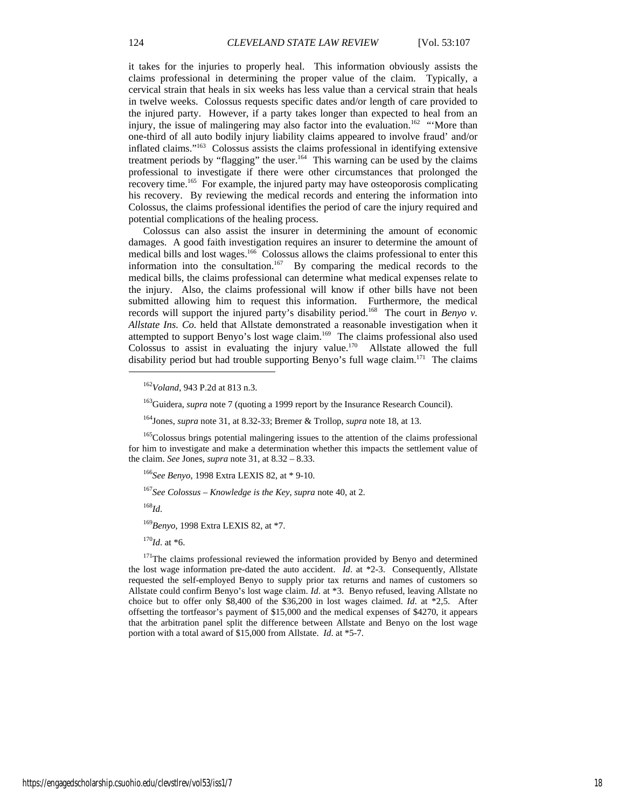it takes for the injuries to properly heal. This information obviously assists the claims professional in determining the proper value of the claim. Typically, a cervical strain that heals in six weeks has less value than a cervical strain that heals in twelve weeks. Colossus requests specific dates and/or length of care provided to the injured party. However, if a party takes longer than expected to heal from an injury, the issue of malingering may also factor into the evaluation.<sup>162</sup> "'More than one-third of all auto bodily injury liability claims appeared to involve fraud' and/or inflated claims."163 Colossus assists the claims professional in identifying extensive treatment periods by "flagging" the user.<sup>164</sup> This warning can be used by the claims professional to investigate if there were other circumstances that prolonged the recovery time.165 For example, the injured party may have osteoporosis complicating his recovery. By reviewing the medical records and entering the information into Colossus, the claims professional identifies the period of care the injury required and potential complications of the healing process.

Colossus can also assist the insurer in determining the amount of economic damages. A good faith investigation requires an insurer to determine the amount of medical bills and lost wages.166 Colossus allows the claims professional to enter this information into the consultation.<sup>167</sup> By comparing the medical records to the medical bills, the claims professional can determine what medical expenses relate to the injury. Also, the claims professional will know if other bills have not been submitted allowing him to request this information. Furthermore, the medical records will support the injured party's disability period.<sup>168</sup> The court in *Benyo v*. *Allstate Ins. Co.* held that Allstate demonstrated a reasonable investigation when it attempted to support Benyo's lost wage claim.<sup>169</sup> The claims professional also used Colossus to assist in evaluating the injury value.<sup>170</sup> Allstate allowed the full disability period but had trouble supporting Benyo's full wage claim.<sup>171</sup> The claims  $\overline{a}$ 

<sup>166</sup>*See Benyo*, 1998 Extra LEXIS 82, at \* 9-10.

<sup>167</sup>*See Colossus – Knowledge is the Key*, *supra* note 40, at 2.

<sup>168</sup>*Id*.

<sup>162</sup>*Voland*, 943 P.2d at 813 n.3.

<sup>&</sup>lt;sup>163</sup>Guidera, *supra* note 7 (quoting a 1999 report by the Insurance Research Council).

<sup>164</sup>Jones, *supra* note 31, at 8.32-33; Bremer & Trollop, *supra* note 18, at 13.

<sup>&</sup>lt;sup>165</sup>Colossus brings potential malingering issues to the attention of the claims professional for him to investigate and make a determination whether this impacts the settlement value of the claim. *See* Jones, *supra* note 31, at 8.32 – 8.33.

<sup>169</sup>*Benyo*, 1998 Extra LEXIS 82, at \*7.

 $170$ *Id.* at \*6.

<sup>&</sup>lt;sup>171</sup>The claims professional reviewed the information provided by Benyo and determined the lost wage information pre-dated the auto accident. *Id*. at \*2-3. Consequently, Allstate requested the self-employed Benyo to supply prior tax returns and names of customers so Allstate could confirm Benyo's lost wage claim. *Id*. at \*3. Benyo refused, leaving Allstate no choice but to offer only \$8,400 of the \$36,200 in lost wages claimed. *Id*. at \*2,5. After offsetting the tortfeasor's payment of \$15,000 and the medical expenses of \$4270, it appears that the arbitration panel split the difference between Allstate and Benyo on the lost wage portion with a total award of \$15,000 from Allstate. *Id*. at \*5-7.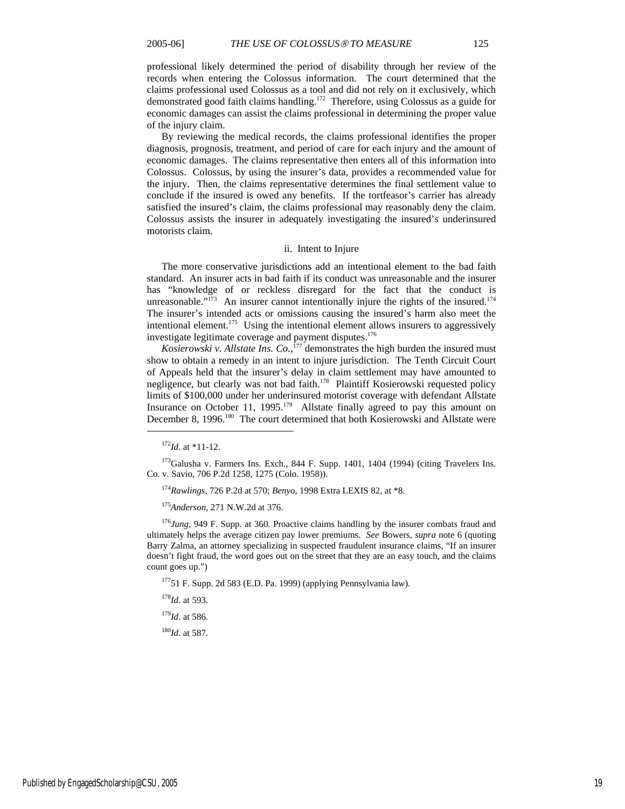professional likely determined the period of disability through her review of the records when entering the Colossus information. The court determined that the claims professional used Colossus as a tool and did not rely on it exclusively, which demonstrated good faith claims handling.172 Therefore, using Colossus as a guide for economic damages can assist the claims professional in determining the proper value of the injury claim.

By reviewing the medical records, the claims professional identifies the proper diagnosis, prognosis, treatment, and period of care for each injury and the amount of economic damages. The claims representative then enters all of this information into Colossus. Colossus, by using the insurer's data, provides a recommended value for the injury. Then, the claims representative determines the final settlement value to conclude if the insured is owed any benefits. If the tortfeasor's carrier has already satisfied the insured's claim, the claims professional may reasonably deny the claim. Colossus assists the insurer in adequately investigating the insured's underinsured motorists claim.

#### ii. Intent to Injure

The more conservative jurisdictions add an intentional element to the bad faith standard. An insurer acts in bad faith if its conduct was unreasonable and the insurer has "knowledge of or reckless disregard for the fact that the conduct is unreasonable." $^{173}$  An insurer cannot intentionally injure the rights of the insured.<sup>174</sup> The insurer's intended acts or omissions causing the insured's harm also meet the intentional element.<sup>175</sup> Using the intentional element allows insurers to aggressively investigate legitimate coverage and payment disputes.<sup>176</sup>

*Kosierowski v. Allstate Ins.*  $Co.$ <sup>177</sup> demonstrates the high burden the insured must show to obtain a remedy in an intent to injure jurisdiction. The Tenth Circuit Court of Appeals held that the insurer's delay in claim settlement may have amounted to negligence, but clearly was not bad faith.<sup>178</sup> Plaintiff Kosierowski requested policy limits of \$100,000 under her underinsured motorist coverage with defendant Allstate Insurance on October 11, 1995.<sup>179</sup> Allstate finally agreed to pay this amount on December 8, 1996.<sup>180</sup> The court determined that both Kosierowski and Allstate were

l

<sup>175</sup>*Anderson*, 271 N.W.2d at 376.

<sup>176</sup>*Jung*, 949 F. Supp. at 360. Proactive claims handling by the insurer combats fraud and ultimately helps the average citizen pay lower premiums. *See* Bowers, *supra* note 6 (quoting Barry Zalma, an attorney specializing in suspected fraudulent insurance claims, "If an insurer doesn't fight fraud, the word goes out on the street that they are an easy touch, and the claims count goes up.")

17751 F. Supp. 2d 583 (E.D. Pa. 1999) (applying Pennsylvania law).

<sup>178</sup>*Id*. at 593.

<sup>179</sup>*Id*. at 586.

<sup>180</sup>*Id*. at 587.

 $^{172}$ *Id* at \*11-12.

 $173$ Galusha v. Farmers Ins. Exch., 844 F. Supp. 1401, 1404 (1994) (citing Travelers Ins. Co. v. Savio, 706 P.2d 1258, 1275 (Colo. 1958)).

<sup>174</sup>*Rawlings*, 726 P.2d at 570; *Benyo*, 1998 Extra LEXIS 82, at \*8.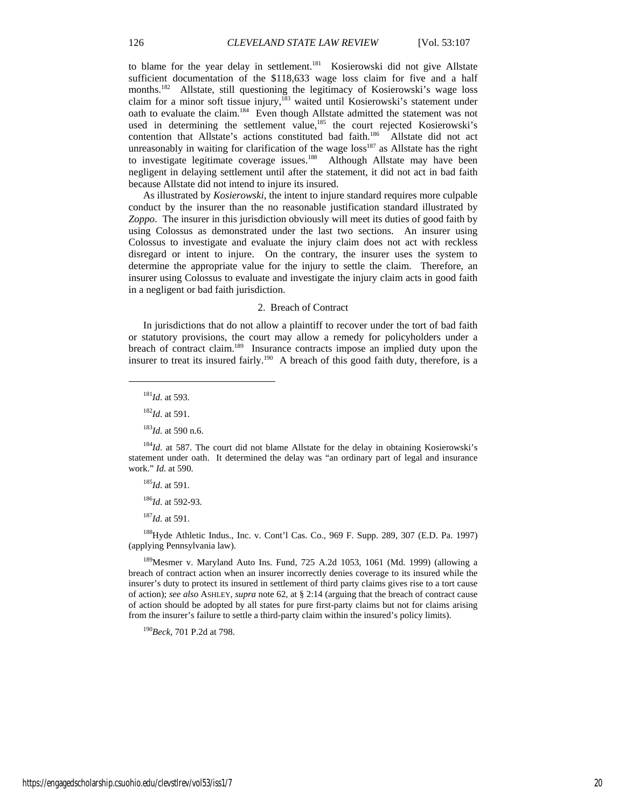to blame for the year delay in settlement.<sup>181</sup> Kosierowski did not give Allstate sufficient documentation of the \$118,633 wage loss claim for five and a half months.<sup>182</sup> Allstate, still questioning the legitimacy of Kosierowski's wage loss claim for a minor soft tissue injury,<sup>183</sup> waited until Kosierowski's statement under oath to evaluate the claim.184 Even though Allstate admitted the statement was not used in determining the settlement value,<sup>185</sup> the court rejected Kosierowski's contention that Allstate's actions constituted bad faith.<sup>186</sup> Allstate did not act unreasonably in waiting for clarification of the wage  $loss<sup>187</sup>$  as Allstate has the right to investigate legitimate coverage issues.<sup>188</sup> Although Allstate may have been negligent in delaying settlement until after the statement, it did not act in bad faith because Allstate did not intend to injure its insured.

As illustrated by *Kosierowski*, the intent to injure standard requires more culpable conduct by the insurer than the no reasonable justification standard illustrated by *Zoppo*. The insurer in this jurisdiction obviously will meet its duties of good faith by using Colossus as demonstrated under the last two sections. An insurer using Colossus to investigate and evaluate the injury claim does not act with reckless disregard or intent to injure. On the contrary, the insurer uses the system to determine the appropriate value for the injury to settle the claim. Therefore, an insurer using Colossus to evaluate and investigate the injury claim acts in good faith in a negligent or bad faith jurisdiction.

#### 2. Breach of Contract

In jurisdictions that do not allow a plaintiff to recover under the tort of bad faith or statutory provisions, the court may allow a remedy for policyholders under a breach of contract claim.<sup>189</sup> Insurance contracts impose an implied duty upon the insurer to treat its insured fairly.<sup>190</sup> A breach of this good faith duty, therefore, is a

<sup>181</sup>*Id*. at 593.

 $\overline{a}$ 

<sup>182</sup>*Id*. at 591.

<sup>183</sup>*Id*. at 590 n.6.

 $184Id$ . at 587. The court did not blame Allstate for the delay in obtaining Kosierowski's statement under oath. It determined the delay was "an ordinary part of legal and insurance work." *Id*. at 590.

<sup>185</sup>*Id*. at 591.

<sup>186</sup>*Id*. at 592-93.

<sup>187</sup>*Id*. at 591.

188Hyde Athletic Indus., Inc. v. Cont'l Cas. Co., 969 F. Supp. 289, 307 (E.D. Pa. 1997) (applying Pennsylvania law).

 $189$ Mesmer v. Maryland Auto Ins. Fund, 725 A.2d 1053, 1061 (Md. 1999) (allowing a breach of contract action when an insurer incorrectly denies coverage to its insured while the insurer's duty to protect its insured in settlement of third party claims gives rise to a tort cause of action); *see also* ASHLEY, *supra* note 62, at § 2:14 (arguing that the breach of contract cause of action should be adopted by all states for pure first-party claims but not for claims arising from the insurer's failure to settle a third-party claim within the insured's policy limits).

<sup>190</sup>*Beck*, 701 P.2d at 798.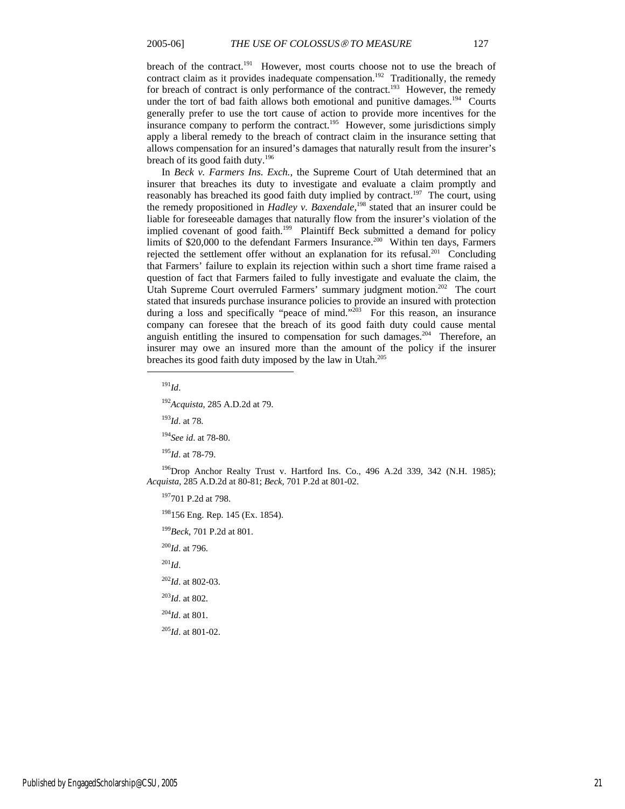breach of the contract.<sup>191</sup> However, most courts choose not to use the breach of contract claim as it provides inadequate compensation.<sup>192</sup> Traditionally, the remedy for breach of contract is only performance of the contract.<sup>193</sup> However, the remedy under the tort of bad faith allows both emotional and punitive damages.<sup>194</sup> Courts generally prefer to use the tort cause of action to provide more incentives for the insurance company to perform the contract.<sup>195</sup> However, some jurisdictions simply apply a liberal remedy to the breach of contract claim in the insurance setting that allows compensation for an insured's damages that naturally result from the insurer's breach of its good faith duty.<sup>196</sup>

In *Beck v. Farmers Ins. Exch.*, the Supreme Court of Utah determined that an insurer that breaches its duty to investigate and evaluate a claim promptly and reasonably has breached its good faith duty implied by contract.<sup>197</sup> The court, using the remedy propositioned in *Hadley v. Baxendale*, 198 stated that an insurer could be liable for foreseeable damages that naturally flow from the insurer's violation of the implied covenant of good faith.<sup>199</sup> Plaintiff Beck submitted a demand for policy limits of \$20,000 to the defendant Farmers Insurance.<sup>200</sup> Within ten days, Farmers rejected the settlement offer without an explanation for its refusal.<sup>201</sup> Concluding that Farmers' failure to explain its rejection within such a short time frame raised a question of fact that Farmers failed to fully investigate and evaluate the claim, the Utah Supreme Court overruled Farmers' summary judgment motion.<sup>202</sup> The court stated that insureds purchase insurance policies to provide an insured with protection during a loss and specifically "peace of mind."<sup>203</sup> For this reason, an insurance company can foresee that the breach of its good faith duty could cause mental anguish entitling the insured to compensation for such damages.<sup>204</sup> Therefore, an insurer may owe an insured more than the amount of the policy if the insurer breaches its good faith duty imposed by the law in Utah.<sup>205</sup>

<sup>191</sup>*Id*.

 $\overline{a}$ 

<sup>192</sup>*Acquista*, 285 A.D.2d at 79.

<sup>193</sup>*Id*. at 78.

<sup>194</sup>*See id*. at 78-80.

<sup>195</sup>*Id*. at 78-79.

<sup>196</sup>Drop Anchor Realty Trust v. Hartford Ins. Co., 496 A.2d 339, 342 (N.H. 1985); *Acquista*, 285 A.D.2d at 80-81; *Beck*, 701 P.2d at 801-02.

197701 P.2d at 798.

<sup>198</sup>156 Eng. Rep. 145 (Ex. 1854).

<sup>199</sup>*Beck*, 701 P.2d at 801.

<sup>200</sup>*Id*. at 796.

 $^{201}$ *Id*.

<sup>202</sup>*Id*. at 802-03.

<sup>203</sup>*Id*. at 802.

<sup>204</sup>*Id*. at 801.

<sup>205</sup>*Id*. at 801-02.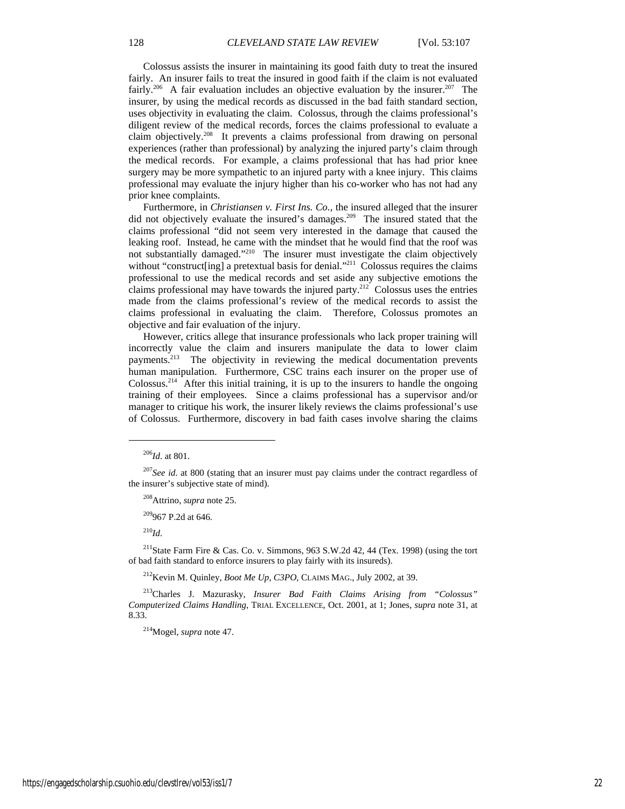Colossus assists the insurer in maintaining its good faith duty to treat the insured fairly. An insurer fails to treat the insured in good faith if the claim is not evaluated fairly.<sup>206</sup> A fair evaluation includes an objective evaluation by the insurer.<sup>207</sup> The insurer, by using the medical records as discussed in the bad faith standard section, uses objectivity in evaluating the claim. Colossus, through the claims professional's diligent review of the medical records, forces the claims professional to evaluate a claim objectively.208 It prevents a claims professional from drawing on personal experiences (rather than professional) by analyzing the injured party's claim through the medical records. For example, a claims professional that has had prior knee surgery may be more sympathetic to an injured party with a knee injury. This claims professional may evaluate the injury higher than his co-worker who has not had any prior knee complaints.

Furthermore, in *Christiansen v. First Ins. Co.*, the insured alleged that the insurer did not objectively evaluate the insured's damages.<sup>209</sup> The insured stated that the claims professional "did not seem very interested in the damage that caused the leaking roof. Instead, he came with the mindset that he would find that the roof was not substantially damaged."<sup>210</sup> The insurer must investigate the claim objectively without "construct[ing] a pretextual basis for denial."<sup>211</sup> Colossus requires the claims professional to use the medical records and set aside any subjective emotions the claims professional may have towards the injured party. $212$  Colossus uses the entries made from the claims professional's review of the medical records to assist the claims professional in evaluating the claim. Therefore, Colossus promotes an objective and fair evaluation of the injury.

However, critics allege that insurance professionals who lack proper training will incorrectly value the claim and insurers manipulate the data to lower claim payments.<sup>213</sup> The objectivity in reviewing the medical documentation prevents human manipulation. Furthermore, CSC trains each insurer on the proper use of Colossus.<sup>214</sup> After this initial training, it is up to the insurers to handle the ongoing training of their employees. Since a claims professional has a supervisor and/or manager to critique his work, the insurer likely reviews the claims professional's use of Colossus. Furthermore, discovery in bad faith cases involve sharing the claims

 $\overline{a}$ 

208Attrino, *supra* note 25.

209967 P.2d at 646.

<sup>210</sup>*Id*.

<sup>211</sup>State Farm Fire & Cas. Co. v. Simmons, 963 S.W.2d 42, 44 (Tex. 1998) (using the tort of bad faith standard to enforce insurers to play fairly with its insureds).

212Kevin M. Quinley, *Boot Me Up, C3PO*, CLAIMS MAG., July 2002, at 39.

213Charles J. Mazurasky, *Insurer Bad Faith Claims Arising from "Colossus" Computerized Claims Handling*, TRIAL EXCELLENCE, Oct. 2001, at 1; Jones, *supra* note 31, at 8.33.

214Mogel, *supra* note 47.

<sup>206</sup>*Id*. at 801.

<sup>&</sup>lt;sup>207</sup>*See id.* at 800 (stating that an insurer must pay claims under the contract regardless of the insurer's subjective state of mind).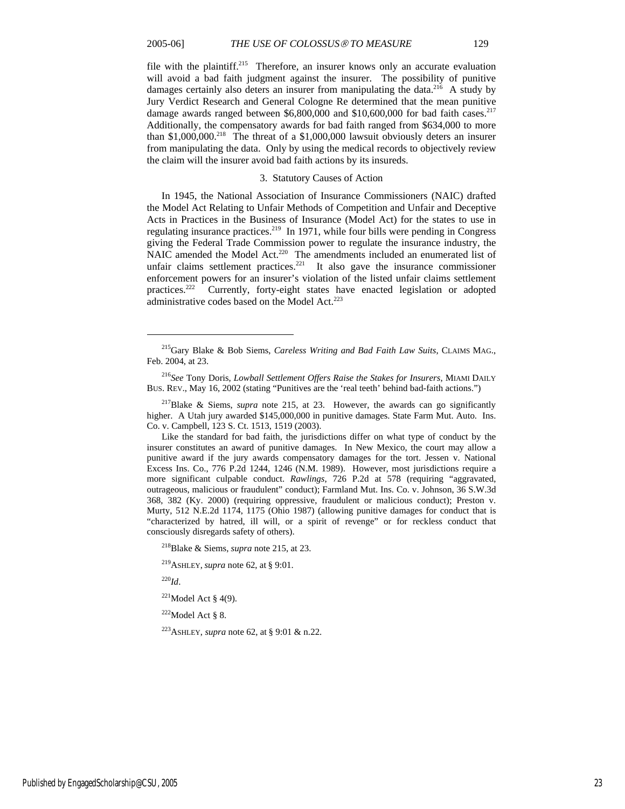file with the plaintiff.<sup>215</sup> Therefore, an insurer knows only an accurate evaluation will avoid a bad faith judgment against the insurer. The possibility of punitive damages certainly also deters an insurer from manipulating the data.<sup>216</sup> A study by Jury Verdict Research and General Cologne Re determined that the mean punitive damage awards ranged between  $$6,800,000$  and  $$10,600,000$  for bad faith cases.<sup>217</sup> Additionally, the compensatory awards for bad faith ranged from \$634,000 to more than  $$1,000,000$ <sup>218</sup> The threat of a  $$1,000,000$  lawsuit obviously deters an insurer from manipulating the data. Only by using the medical records to objectively review the claim will the insurer avoid bad faith actions by its insureds.

#### 3. Statutory Causes of Action

In 1945, the National Association of Insurance Commissioners (NAIC) drafted the Model Act Relating to Unfair Methods of Competition and Unfair and Deceptive Acts in Practices in the Business of Insurance (Model Act) for the states to use in regulating insurance practices.219 In 1971, while four bills were pending in Congress giving the Federal Trade Commission power to regulate the insurance industry, the NAIC amended the Model Act.<sup>220</sup> The amendments included an enumerated list of unfair claims settlement practices.<sup>221</sup> It also gave the insurance commissioner enforcement powers for an insurer's violation of the listed unfair claims settlement practices.<sup>222</sup> Currently, forty-eight states have enacted legislation or adopted administrative codes based on the Model Act.<sup>223</sup>

<sup>220</sup>*Id*.

 $\overline{a}$ 

 $221$ Model Act § 4(9).

 $222$ Model Act § 8.

223ASHLEY, *supra* note 62, at § 9:01 & n.22.

<sup>215</sup>Gary Blake & Bob Siems, *Careless Writing and Bad Faith Law Suits*, CLAIMS MAG., Feb. 2004, at 23.

<sup>216</sup>*See* Tony Doris, *Lowball Settlement Offers Raise the Stakes for Insurers*, MIAMI DAILY BUS. REV., May 16, 2002 (stating "Punitives are the 'real teeth' behind bad-faith actions.")

<sup>217</sup>Blake & Siems, *supra* note 215, at 23. However, the awards can go significantly higher. A Utah jury awarded \$145,000,000 in punitive damages. State Farm Mut. Auto. Ins. Co. v. Campbell, 123 S. Ct. 1513, 1519 (2003).

Like the standard for bad faith, the jurisdictions differ on what type of conduct by the insurer constitutes an award of punitive damages. In New Mexico, the court may allow a punitive award if the jury awards compensatory damages for the tort. Jessen v. National Excess Ins. Co., 776 P.2d 1244, 1246 (N.M. 1989). However, most jurisdictions require a more significant culpable conduct. *Rawlings*, 726 P.2d at 578 (requiring "aggravated, outrageous, malicious or fraudulent" conduct); Farmland Mut. Ins. Co. v. Johnson, 36 S.W.3d 368, 382 (Ky. 2000) (requiring oppressive, fraudulent or malicious conduct); Preston v. Murty, 512 N.E.2d 1174, 1175 (Ohio 1987) (allowing punitive damages for conduct that is "characterized by hatred, ill will, or a spirit of revenge" or for reckless conduct that consciously disregards safety of others).

<sup>218</sup>Blake & Siems, *supra* note 215, at 23.

<sup>219</sup>ASHLEY, *supra* note 62, at § 9:01.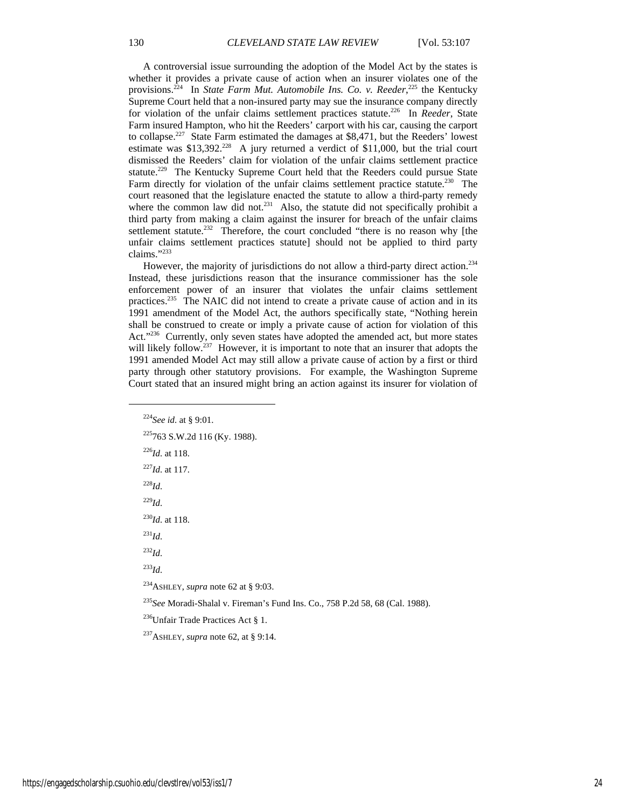A controversial issue surrounding the adoption of the Model Act by the states is whether it provides a private cause of action when an insurer violates one of the provisions.<sup>224</sup> In *State Farm Mut. Automobile Ins. Co. v. Reeder*,<sup>225</sup> the Kentucky Supreme Court held that a non-insured party may sue the insurance company directly for violation of the unfair claims settlement practices statute.226 In *Reeder*, State Farm insured Hampton, who hit the Reeders' carport with his car, causing the carport to collapse.227 State Farm estimated the damages at \$8,471, but the Reeders' lowest estimate was \$13,392.<sup>228</sup> A jury returned a verdict of \$11,000, but the trial court dismissed the Reeders' claim for violation of the unfair claims settlement practice statute.<sup>229</sup> The Kentucky Supreme Court held that the Reeders could pursue State Farm directly for violation of the unfair claims settlement practice statute.<sup>230</sup> The court reasoned that the legislature enacted the statute to allow a third-party remedy where the common law did not.<sup>231</sup> Also, the statute did not specifically prohibit a third party from making a claim against the insurer for breach of the unfair claims settlement statute.<sup>232</sup> Therefore, the court concluded "there is no reason why [the unfair claims settlement practices statute] should not be applied to third party claims."233

However, the majority of jurisdictions do not allow a third-party direct action.<sup>234</sup> Instead, these jurisdictions reason that the insurance commissioner has the sole enforcement power of an insurer that violates the unfair claims settlement practices.<sup>235</sup> The NAIC did not intend to create a private cause of action and in its 1991 amendment of the Model Act, the authors specifically state, "Nothing herein shall be construed to create or imply a private cause of action for violation of this Act."<sup>236</sup> Currently, only seven states have adopted the amended act, but more states will likely follow.<sup>237</sup> However, it is important to note that an insurer that adopts the 1991 amended Model Act may still allow a private cause of action by a first or third party through other statutory provisions. For example, the Washington Supreme Court stated that an insured might bring an action against its insurer for violation of

<sup>224</sup>*See id*. at § 9:01. 225763 S.W.2d 116 (Ky. 1988). <sup>226</sup>*Id*. at 118. <sup>227</sup>*Id*. at 117. <sup>228</sup>*Id*. <sup>229</sup>*Id*. <sup>230</sup>*Id*. at 118.  $^{231}$ *Id.* <sup>232</sup>*Id*. <sup>233</sup>*Id*. 234ASHLEY, *supra* note 62 at § 9:03. <sup>235</sup>*See* Moradi-Shalal v. Fireman's Fund Ins. Co., 758 P.2d 58, 68 (Cal. 1988).

236Unfair Trade Practices Act § 1.

237ASHLEY, *supra* note 62, at § 9:14.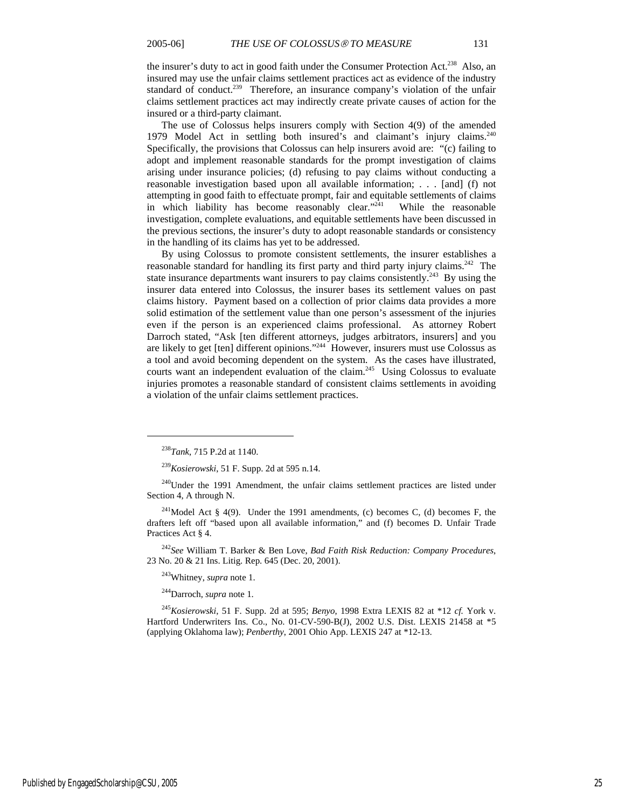the insurer's duty to act in good faith under the Consumer Protection Act.<sup>238</sup> Also, an insured may use the unfair claims settlement practices act as evidence of the industry standard of conduct.<sup>239</sup> Therefore, an insurance company's violation of the unfair claims settlement practices act may indirectly create private causes of action for the insured or a third-party claimant.

The use of Colossus helps insurers comply with Section 4(9) of the amended 1979 Model Act in settling both insured's and claimant's injury claims.<sup>240</sup> Specifically, the provisions that Colossus can help insurers avoid are: "(c) failing to adopt and implement reasonable standards for the prompt investigation of claims arising under insurance policies; (d) refusing to pay claims without conducting a reasonable investigation based upon all available information; . . . [and] (f) not attempting in good faith to effectuate prompt, fair and equitable settlements of claims in which liability has become reasonably clear."<sup>241</sup> While the reasonable investigation, complete evaluations, and equitable settlements have been discussed in the previous sections, the insurer's duty to adopt reasonable standards or consistency in the handling of its claims has yet to be addressed.

By using Colossus to promote consistent settlements, the insurer establishes a reasonable standard for handling its first party and third party injury claims.<sup>242</sup> The state insurance departments want insurers to pay claims consistently.<sup>243</sup> By using the insurer data entered into Colossus, the insurer bases its settlement values on past claims history. Payment based on a collection of prior claims data provides a more solid estimation of the settlement value than one person's assessment of the injuries even if the person is an experienced claims professional. As attorney Robert Darroch stated, "Ask [ten different attorneys, judges arbitrators, insurers] and you are likely to get [ten] different opinions."<sup>244</sup> However, insurers must use Colossus as a tool and avoid becoming dependent on the system. As the cases have illustrated, courts want an independent evaluation of the claim.<sup>245</sup> Using Colossus to evaluate injuries promotes a reasonable standard of consistent claims settlements in avoiding a violation of the unfair claims settlement practices.

 $\overline{a}$ 

<sup>242</sup>*See* William T. Barker & Ben Love, *Bad Faith Risk Reduction: Company Procedures*, 23 No. 20 & 21 Ins. Litig. Rep. 645 (Dec. 20, 2001).

243Whitney, *supra* note 1.

244Darroch, *supra* note 1.

<sup>245</sup>*Kosierowski*, 51 F. Supp. 2d at 595; *Benyo*, 1998 Extra LEXIS 82 at \*12 *cf.* York v. Hartford Underwriters Ins. Co., No. 01-CV-590-B(J), 2002 U.S. Dist. LEXIS 21458 at \*5 (applying Oklahoma law); *Penberthy*, 2001 Ohio App. LEXIS 247 at \*12-13.

<sup>238</sup>*Tank*, 715 P.2d at 1140.

<sup>239</sup>*Kosierowski*, 51 F. Supp. 2d at 595 n.14.

<sup>&</sup>lt;sup>240</sup>Under the 1991 Amendment, the unfair claims settlement practices are listed under Section 4, A through N.

<sup>&</sup>lt;sup>241</sup>Model Act § 4(9). Under the 1991 amendments, (c) becomes C, (d) becomes F, the drafters left off "based upon all available information," and (f) becomes D. Unfair Trade Practices Act § 4.